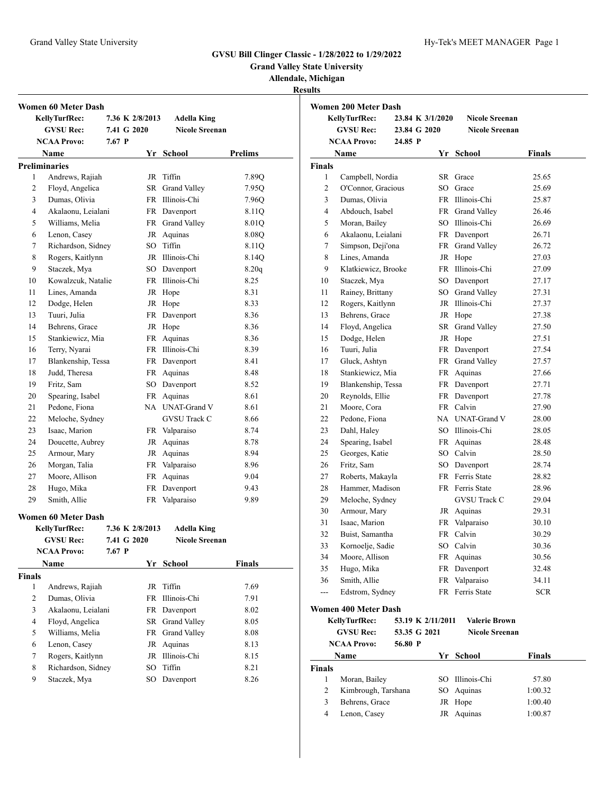**Grand Valley State University**

# **Allendale, Michigan**

**Results**

|                      | Women 60 Meter Dash  |             |                 |                       |                |
|----------------------|----------------------|-------------|-----------------|-----------------------|----------------|
|                      | <b>KellyTurfRec:</b> |             | 7.36 K 2/8/2013 | <b>Adella King</b>    |                |
|                      | <b>GVSU Rec:</b>     |             | 7.41 G 2020     | <b>Nicole Sreenan</b> |                |
|                      | <b>NCAA Provo:</b>   | $7.67$ P    |                 |                       |                |
|                      | Name                 |             |                 | Yr School             | <b>Prelims</b> |
| <b>Preliminaries</b> |                      |             |                 |                       |                |
| 1                    | Andrews, Rajiah      |             | JR              | Tiffin                | 7.89Q          |
| 2                    | Floyd, Angelica      |             | SR              | Grand Valley          | 7.95Q          |
| 3                    | Dumas, Olivia        |             |                 | FR Illinois-Chi       | 7.96Q          |
| 4                    | Akalaonu, Leialani   |             |                 | FR Davenport          | 8.11Q          |
| 5                    | Williams, Melia      |             |                 | FR Grand Valley       | 8.01Q          |
| 6                    | Lenon, Casey         |             |                 | JR Aquinas            | 8.08Q          |
| 7                    | Richardson, Sidney   |             |                 | SO Tiffin             | 8.11Q          |
| 8                    | Rogers, Kaitlynn     |             |                 | JR Illinois-Chi       | 8.14Q          |
| 9                    | Staczek, Mya         |             |                 | SO Davenport          | 8.20q          |
| 10                   | Kowalzcuk, Natalie   |             |                 | FR Illinois-Chi       | 8.25           |
| 11                   | Lines, Amanda        |             |                 | JR Hope               | 8.31           |
| 12                   | Dodge, Helen         |             |                 | JR Hope               | 8.33           |
| 13                   | Tuuri, Julia         |             |                 | FR Davenport          | 8.36           |
| 14                   | Behrens, Grace       |             |                 | JR Hope               | 8.36           |
| 15                   | Stankiewicz, Mia     |             |                 | FR Aquinas            | 8.36           |
| 16                   | Terry, Nyarai        |             |                 | FR Illinois-Chi       | 8.39           |
| 17                   | Blankenship, Tessa   |             |                 | FR Davenport          | 8.41           |
| 18                   | Judd. Theresa        |             |                 | FR Aquinas            | 8.48           |
| 19                   | Fritz, Sam           |             |                 | SO Davenport          | 8.52           |
| 20                   | Spearing, Isabel     |             |                 | FR Aquinas            | 8.61           |
| 21                   | Pedone, Fiona        |             |                 | NA UNAT-Grand V       | 8.61           |
| 22                   | Meloche, Sydney      |             |                 | <b>GVSU</b> Track C   | 8.66           |
| 23                   | Isaac, Marion        |             |                 | FR Valparaiso         | 8.74           |
| 24                   | Doucette, Aubrey     |             |                 | JR Aquinas            | 8.78           |
| 25                   | Armour, Mary         |             |                 | JR Aquinas            | 8.94           |
| 26                   | Morgan, Talia        |             |                 | FR Valparaiso         | 8.96           |
| 27                   | Moore, Allison       |             |                 | FR Aquinas            | 9.04           |
| 28                   | Hugo, Mika           |             | FR              | Davenport             | 9.43           |
| 29                   | Smith, Allie         |             |                 | FR Valparaiso         | 9.89           |
|                      | Women 60 Meter Dash  |             |                 |                       |                |
|                      | <b>KellyTurfRec:</b> |             | 7.36 K 2/8/2013 | <b>Adella King</b>    |                |
|                      | <b>GVSU Rec:</b>     | 7.41 G 2020 |                 | <b>Nicole Sreenan</b> |                |
|                      | <b>NCAA Provo:</b>   | $7.67$ P    |                 |                       |                |
|                      | Name                 |             |                 | Yr School             | Finals         |
| <b>Finals</b>        |                      |             |                 |                       |                |
| 1                    | Andrews, Rajiah      |             | JR              | Tiffin                | 7.69           |
| 2                    | Dumas, Olivia        |             | FR              | Illinois-Chi          | 7.91           |
| 3                    | Akalaonu, Leialani   |             | FR              | Davenport             | 8.02           |
| 4                    | Floyd, Angelica      |             | SR              | Grand Valley          | 8.05           |
| 5                    | Williams, Melia      |             | FR              | Grand Valley          | 8.08           |
| 6                    | Lenon, Casev         |             | JR              | Aquinas               | 8.13           |
| 7                    | Rogers, Kaitlynn     |             |                 | JR Illinois-Chi       | 8.15           |
| 8                    | Richardson, Sidney   |             | SO.             | Tiffin                | 8.21           |
| 9                    | Staczek, Mya         |             | SO              | Davenport             | 8.26           |
|                      |                      |             |                 |                       |                |

|                         | KellyTurfRec:       |         |                                       | 23.84 K 3/1/2020    |            |  |  |
|-------------------------|---------------------|---------|---------------------------------------|---------------------|------------|--|--|
|                         | <b>GVSU Rec:</b>    |         | 23.84 G 2020<br><b>Nicole Sreenan</b> |                     |            |  |  |
|                         | <b>NCAA Provo:</b>  | 24.85 P |                                       |                     |            |  |  |
|                         | Name                |         |                                       | Yr School           | Finals     |  |  |
| <b>Finals</b>           |                     |         |                                       |                     |            |  |  |
| $\mathbf{1}$            | Campbell, Nordia    |         |                                       | SR Grace            | 25.65      |  |  |
| $\overline{2}$          | O'Connor, Gracious  |         |                                       | SO Grace            | 25.69      |  |  |
| 3                       | Dumas, Olivia       |         |                                       | FR Illinois-Chi     | 25.87      |  |  |
| $\overline{\mathbf{4}}$ | Abdouch, Isabel     |         |                                       | FR Grand Valley     | 26.46      |  |  |
| 5                       | Moran, Bailey       |         |                                       | SO Illinois-Chi     | 26.69      |  |  |
| 6                       | Akalaonu, Leialani  |         |                                       | FR Davenport        | 26.71      |  |  |
| $\tau$                  | Simpson, Deji'ona   |         | FR                                    | Grand Valley        | 26.72      |  |  |
| 8                       | Lines, Amanda       |         |                                       | JR Hope             | 27.03      |  |  |
| 9                       | Klatkiewicz, Brooke |         |                                       | FR Illinois-Chi     | 27.09      |  |  |
| 10                      | Staczek, Mya        |         |                                       | SO Davenport        | 27.17      |  |  |
| 11                      | Rainey, Brittany    |         |                                       | SO Grand Valley     | 27.31      |  |  |
| 12                      | Rogers, Kaitlynn    |         |                                       | JR Illinois-Chi     | 27.37      |  |  |
| 13                      | Behrens, Grace      |         |                                       | JR Hope             | 27.38      |  |  |
| 14                      | Floyd, Angelica     |         | SR                                    | Grand Valley        | 27.50      |  |  |
| 15                      | Dodge, Helen        |         | JR                                    | Hope                | 27.51      |  |  |
| 16                      | Tuuri, Julia        |         |                                       | FR Davenport        | 27.54      |  |  |
| 17                      | Gluck, Ashtyn       |         |                                       | FR Grand Valley     | 27.57      |  |  |
| 18                      | Stankiewicz, Mia    |         |                                       | FR Aquinas          | 27.66      |  |  |
| 19                      | Blankenship, Tessa  |         | <b>FR</b>                             | Davenport           | 27.71      |  |  |
| 20                      | Reynolds, Ellie     |         |                                       | FR Davenport        | 27.78      |  |  |
| 21                      | Moore, Cora         |         |                                       | FR Calvin           | 27.90      |  |  |
| 22                      | Pedone, Fiona       |         |                                       | NA UNAT-Grand V     | 28.00      |  |  |
| 23                      | Dahl, Haley         |         |                                       | SO Illinois-Chi     | 28.05      |  |  |
| 24                      | Spearing, Isabel    |         |                                       | FR Aquinas          | 28.48      |  |  |
| 25                      | Georges, Katie      |         |                                       | SO Calvin           | 28.50      |  |  |
| 26                      | Fritz, Sam          |         |                                       | SO Davenport        | 28.74      |  |  |
| 27                      | Roberts, Makayla    |         |                                       | FR Ferris State     | 28.82      |  |  |
| 28                      | Hammer, Madison     |         |                                       | FR Ferris State     | 28.96      |  |  |
| 29                      | Meloche, Sydney     |         |                                       | <b>GVSU Track C</b> | 29.04      |  |  |
| 30                      | Armour, Mary        |         |                                       | JR Aquinas          | 29.31      |  |  |
| 31                      | Isaac, Marion       |         | FR                                    | Valparaiso          | 30.10      |  |  |
| 32                      | Buist, Samantha     |         |                                       | FR Calvin           | 30.29      |  |  |
| 33                      | Kornoelje, Sadie    |         |                                       | SO Calvin           | 30.36      |  |  |
| 34                      | Moore, Allison      |         |                                       | FR Aquinas          | 30.56      |  |  |
| 35                      | Hugo, Mika          |         | FR                                    | Davenport           | 32.48      |  |  |
| 36                      | Smith, Allie        |         | <b>FR</b>                             | Valparaiso          | 34.11      |  |  |
| $\overline{a}$          | Edstrom, Sydney     |         |                                       | FR Ferris State     | <b>SCR</b> |  |  |
|                         |                     |         |                                       |                     |            |  |  |

|               | <b>KellyTurfRec:</b> | 53.19 K 2/11/2011 | <b>Valerie Brown</b>  |               |
|---------------|----------------------|-------------------|-----------------------|---------------|
|               | <b>GVSU Rec:</b>     | 53.35 G 2021      | <b>Nicole Sreenan</b> |               |
|               | <b>NCAA Provo:</b>   | 56.80 P           |                       |               |
|               | Name                 |                   | Yr School             | <b>Finals</b> |
| <b>Finals</b> |                      |                   |                       |               |
|               | Moran, Bailey        |                   | SO Illinois-Chi       | 57.80         |
| 2             | Kimbrough, Tarshana  |                   | SO Aquinas            | 1:00.32       |
| 3             | Behrens, Grace       |                   | JR Hope               | 1:00.40       |
| 4             | Lenon, Casey         |                   | JR Aquinas            | 1:00.87       |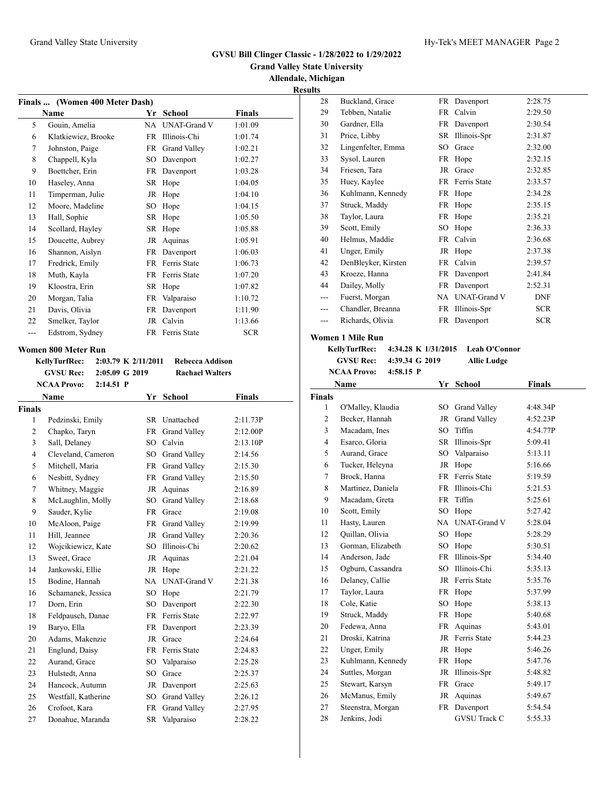## **Grand Valley State University Allendale, Michigan Results**

| Finals  (Women 400 Meter Dash) |                     |     |                     |            |  |  |  |  |
|--------------------------------|---------------------|-----|---------------------|------------|--|--|--|--|
|                                | Name                | Yr  | School              | Finals     |  |  |  |  |
| 5                              | Gouin, Amelia       | NA. | <b>UNAT-Grand V</b> | 1:01.09    |  |  |  |  |
| 6                              | Klatkiewicz, Brooke | FR  | Illinois-Chi        | 1:01.74    |  |  |  |  |
| 7                              | Johnston, Paige     | FR  | Grand Valley        | 1:02.21    |  |  |  |  |
| 8                              | Chappell, Kyla      | SO  | Davenport           | 1:02.27    |  |  |  |  |
| 9                              | Boettcher, Erin     | FR  | Davenport           | 1:03.28    |  |  |  |  |
| 10                             | Haseley, Anna       | SR  | Hope                | 1:04.05    |  |  |  |  |
| 11                             | Timperman, Julie    | JR  | Hope                | 1:04.10    |  |  |  |  |
| 12                             | Moore, Madeline     | SO  | Hope                | 1:04.15    |  |  |  |  |
| 13                             | Hall, Sophie        | SR  | Hope                | 1:05.50    |  |  |  |  |
| 14                             | Scollard, Hayley    | SR. | Hope                | 1:05.88    |  |  |  |  |
| 15                             | Doucette, Aubrey    | JR  | Aquinas             | 1:05.91    |  |  |  |  |
| 16                             | Shannon, Aislyn     | FR  | Davenport           | 1:06.03    |  |  |  |  |
| 17                             | Fredrick, Emily     | FR  | Ferris State        | 1:06.73    |  |  |  |  |
| 18                             | Muth, Kayla         | FR  | Ferris State        | 1:07.20    |  |  |  |  |
| 19                             | Kloostra, Erin      | SR  | Hope                | 1:07.82    |  |  |  |  |
| 20                             | Morgan, Talia       | FR  | Valparaiso          | 1:10.72    |  |  |  |  |
| 21                             | Davis, Olivia       | FR  | Davenport           | 1:11.90    |  |  |  |  |
| 22                             | Smelker, Taylor     | JR  | Calvin              | 1:13.66    |  |  |  |  |
|                                | Edstrom, Sydney     | FR  | Ferris State        | <b>SCR</b> |  |  |  |  |

#### **Women 800 Meter Run**

**KellyTurfRec: 2:03.79 K 2/11/2011 Rebecca Addison GVSU Rec: 2:05.09 G 2019 Rachael Walters**

|               | <b>NCAA Provo:</b><br>$2:14.51$ P |           |                     |               |
|---------------|-----------------------------------|-----------|---------------------|---------------|
|               | Name                              |           | Yr School           | <b>Finals</b> |
| <b>Finals</b> |                                   |           |                     |               |
| 1             | Pedzinski, Emily                  |           | SR Unattached       | 2:11.73P      |
| 2             | Chapko, Taryn                     | <b>FR</b> | Grand Valley        | 2:12.00P      |
| 3             | Sall, Delaney                     | SO.       | Calvin              | 2:13.10P      |
| 4             | Cleveland, Cameron                | SO.       | Grand Valley        | 2:14.56       |
| 5             | Mitchell, Maria                   |           | FR Grand Valley     | 2:15.30       |
| 6             | Nesbitt, Sydney                   |           | FR Grand Valley     | 2:15.50       |
| 7             | Whitney, Maggie                   |           | JR Aquinas          | 2:16.89       |
| 8             | McLaughlin, Molly                 | SO.       | Grand Valley        | 2:18.68       |
| 9             | Sauder, Kylie                     | <b>FR</b> | Grace               | 2:19.08       |
| 10            | McAloon, Paige                    | <b>FR</b> | Grand Valley        | 2:19.99       |
| 11            | Hill, Jeannee                     |           | JR Grand Valley     | 2:20.36       |
| 12            | Wojcikiewicz, Kate                | SO.       | Illinois-Chi        | 2:20.62       |
| 13            | Sweet, Grace                      | JR        | Aquinas             | 2:21.04       |
| 14            | Jankowski, Ellie                  | JR        | Hope                | 2:21.22       |
| 15            | Bodine, Hannah                    | NA        | <b>UNAT-Grand V</b> | 2:21.38       |
| 16            | Schamanek, Jessica                | SO.       | Hope                | 2:21.79       |
| 17            | Dorn, Erin                        | SO.       | Davenport           | 2:22.30       |
| 18            | Feldpausch, Danae                 |           | FR Ferris State     | 2:22.97       |
| 19            | Baryo, Ella                       |           | FR Davenport        | 2:23.39       |
| 20            | Adams, Makenzie                   | <b>JR</b> | Grace               | 2:24.64       |
| 21            | Englund, Daisy                    |           | FR Ferris State     | 2:24.83       |
| 22            | Aurand, Grace                     | SO.       | Valparaiso          | 2:25.28       |
| 23            | Hulstedt, Anna                    | SO.       | Grace               | 2:25.37       |
| 24            | Hancock, Autumn                   | JR        | Davenport           | 2:25.63       |
| 25            | Westfall, Katherine               |           | SO Grand Valley     | 2:26.12       |
| 26            | Crofoot, Kara                     | FR        | Grand Valley        | 2:27.95       |
| 27            | Donahue, Maranda                  | SR.       | Valparaiso          | 2:28.22       |

| 28  | Buckland, Grace     | FR | Davenport           | 2:28.75    |
|-----|---------------------|----|---------------------|------------|
| 29  | Tebben, Natalie     | FR | Calvin              | 2:29.50    |
| 30  | Gardner, Ella       | FR | Davenport           | 2:30.54    |
| 31  | Price, Libby        | SR | Illinois-Spr        | 2:31.87    |
| 32  | Lingenfelter, Emma  | SO | Grace               | 2:32.00    |
| 33  | Sysol, Lauren       | FR | Hope                | 2:32.15    |
| 34  | Friesen, Tara       | JR | Grace               | 2:32.85    |
| 35  | Huey, Kaylee        | FR | Ferris State        | 2:33.57    |
| 36  | Kuhlmann, Kennedy   | FR | Hope                | 2:34.28    |
| 37  | Struck, Maddy       | FR | Hope                | 2:35.15    |
| 38  | Taylor, Laura       | FR | Hope                | 2:35.21    |
| 39  | Scott, Emily        | SO | Hope                | 2:36.33    |
| 40  | Helmus, Maddie      | FR | Calvin              | 2:36.68    |
| 41  | Unger, Emily        | JR | Hope                | 2:37.38    |
| 42  | DenBleyker, Kirsten | FR | Calvin              | 2:39.57    |
| 43  | Kroeze, Hanna       | FR | Davenport           | 2:41.84    |
| 44  | Dailey, Molly       |    | FR Davenport        | 2:52.31    |
| --- | Fuerst, Morgan      | NA | <b>UNAT-Grand V</b> | <b>DNF</b> |
| --- | Chandler, Breanna   | FR | Illinois-Spr        | <b>SCR</b> |
|     | Richards, Olivia    |    | FR Davenport        | <b>SCR</b> |
|     |                     |    |                     |            |

### **Women 1 Mile Run**

#### **KellyTurfRec: 4:34.28 K 1/31/2015 Leah O'Connor GVSU Rec: 4:39.34 G 2019 Allie Ludge NCAA Provo: 4:58.15 P**

| Name          |                   | Yr        | <b>School</b>       | <b>Finals</b> |  |  |
|---------------|-------------------|-----------|---------------------|---------------|--|--|
| <b>Finals</b> |                   |           |                     |               |  |  |
| 1             | O'Malley, Klaudia |           | SO Grand Valley     | 4:48.34P      |  |  |
| 2             | Becker, Hannah    | JR        | <b>Grand Valley</b> | 4:52.23P      |  |  |
| 3             | Macadam, Ines     | SO        | Tiffin              | 4:54.77P      |  |  |
| 4             | Esarco, Gloria    |           | SR Illinois-Spr     | 5:09.41       |  |  |
| 5             | Aurand, Grace     |           | SO Valparaiso       | 5:13.11       |  |  |
| 6             | Tucker, Heleyna   | JR        | Hope                | 5:16.66       |  |  |
| 7             | Brock, Hanna      |           | FR Ferris State     | 5:19.59       |  |  |
| 8             | Martinez, Daniela |           | FR Illinois-Chi     | 5:21.53       |  |  |
| 9             | Macadam, Greta    | FR        | Tiffin              | 5:25.61       |  |  |
| 10            | Scott, Emily      | SO        | Hope                | 5:27.42       |  |  |
| 11            | Hasty, Lauren     |           | NA UNAT-Grand V     | 5:28.04       |  |  |
| 12            | Quillan, Olivia   |           | SO Hope             | 5:28.29       |  |  |
| 13            | Gorman, Elizabeth | SO        | Hope                | 5:30.51       |  |  |
| 14            | Anderson, Jade    | FR        | Illinois-Spr        | 5:34.40       |  |  |
| 15            | Ogburn, Cassandra |           | SO Illinois-Chi     | 5:35.13       |  |  |
| 16            | Delaney, Callie   |           | JR Ferris State     | 5:35.76       |  |  |
| 17            | Taylor, Laura     | <b>FR</b> | Hope                | 5:37.99       |  |  |
| 18            | Cole, Katie       | SO        | Hope                | 5:38.13       |  |  |
| 19            | Struck, Maddy     | <b>FR</b> | Hope                | 5:40.68       |  |  |
| 20            | Fedewa, Anna      | <b>FR</b> | Aquinas             | 5:43.01       |  |  |
| 21            | Droski, Katrina   |           | JR Ferris State     | 5:44.23       |  |  |
| 22            | Unger, Emily      | JR        | Hope                | 5:46.26       |  |  |
| 23            | Kuhlmann, Kennedy | FR        | Hope                | 5:47.76       |  |  |
| 24            | Suttles, Morgan   | JR        | Illinois-Spr        | 5:48.82       |  |  |
| 25            | Stewart, Karsyn   | <b>FR</b> | Grace               | 5:49.17       |  |  |
| 26            | McManus, Emily    | JR        | Aquinas             | 5:49.67       |  |  |
| 27            | Steenstra, Morgan | FR        | Davenport           | 5:54.54       |  |  |
| 28            | Jenkins, Jodi     |           | <b>GVSU Track C</b> | 5:55.33       |  |  |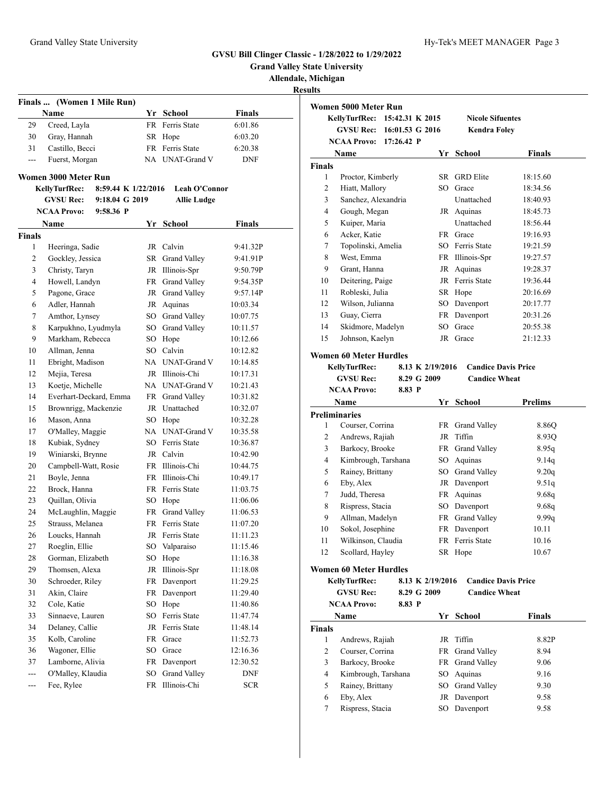**Grand Valley State University**

**Allendale, Michigan**

**Results**

|               |                                      |                 |                        |               | R |
|---------------|--------------------------------------|-----------------|------------------------|---------------|---|
|               | Finals  (Women 1 Mile Run)           |                 |                        |               |   |
|               | Name                                 |                 | Yr School              | <b>Finals</b> |   |
| 29            | Creed, Layla                         | FR.             | Ferris State           | 6:01.86       |   |
| 30            | Gray, Hannah                         |                 | SR Hope                | 6:03.20       |   |
| 31            | Castillo, Becci                      |                 | FR Ferris State        | 6:20.38       |   |
| ---           | Fuerst, Morgan                       |                 | NA UNAT-Grand V        | <b>DNF</b>    |   |
|               | Women 3000 Meter Run                 |                 |                        |               |   |
|               | KellyTurfRec:<br>8:59.44 K 1/22/2016 |                 | <b>Leah O'Connor</b>   |               |   |
|               | <b>GVSU Rec:</b><br>9:18.04 G 2019   |                 | <b>Allie Ludge</b>     |               |   |
|               | <b>NCAA Provo:</b><br>$9:58.36$ P    |                 |                        |               |   |
|               | Name                                 |                 | Yr School              | Finals        |   |
| <b>Finals</b> |                                      |                 |                        |               |   |
| 1             | Heeringa, Sadie                      |                 | JR Calvin              | 9:41.32P      |   |
| 2             | Gockley, Jessica                     |                 | SR Grand Valley        | 9:41.91P      |   |
| 3             | Christy, Taryn                       |                 | JR Illinois-Spr        | 9:50.79P      |   |
| 4             | Howell, Landyn                       |                 | FR Grand Valley        | 9:54.35P      |   |
| 5             | Pagone, Grace                        |                 | JR Grand Valley        | 9:57.14P      |   |
| 6             | Adler, Hannah                        |                 | JR Aquinas             | 10:03.34      |   |
| 7             | Amthor, Lynsey                       |                 | SO Grand Valley        | 10:07.75      |   |
| 8             | Karpukhno, Lyudmyla                  |                 | SO Grand Valley        | 10:11.57      |   |
| 9             | Markham, Rebecca                     |                 | SO Hope                | 10:12.66      |   |
| 10            | Allman, Jenna                        |                 | SO Calvin              | 10:12.82      |   |
| 11            | Ebright, Madison                     |                 | NA UNAT-Grand V        | 10:14.85      |   |
| 12            | Mejia, Teresa                        |                 | JR Illinois-Chi        | 10:17.31      |   |
| 13            | Koetje, Michelle                     |                 | NA UNAT-Grand V        | 10:21.43      |   |
| 14            | Everhart-Deckard, Emma               |                 | FR Grand Valley        | 10:31.82      |   |
| 15            | Brownrigg, Mackenzie                 |                 | JR Unattached          | 10:32.07      |   |
| 16            | Mason, Anna                          |                 | SO Hope                | 10:32.28      |   |
| 17            | O'Malley, Maggie                     |                 | NA UNAT-Grand V        | 10:35.58      |   |
| 18            | Kubiak, Sydney                       |                 | SO Ferris State        | 10:36.87      |   |
| 19            | Winiarski, Brynne                    |                 | JR Calvin              | 10:42.90      |   |
| 20            | Campbell-Watt, Rosie                 |                 | FR Illinois-Chi        | 10:44.75      |   |
| 21            | Boyle, Jenna                         |                 | FR Illinois-Chi        | 10:49.17      |   |
| 22            | Brock, Hanna                         |                 | FR Ferris State        | 11:03.75      |   |
| 23            | Quillan, Olivia                      | SO              | Hope                   | 11:06.06      |   |
| 24            | McLaughlin, Maggie                   | FR              | Grand Valley           | 11:06.53      |   |
| 25            | Strauss, Melanea                     |                 | <b>FR</b> Ferris State | 11:07.20      |   |
| 26            | Loucks, Hannah                       | JR              | Ferris State           | 11:11.23      |   |
| 27            | Roeglin, Ellie                       | SO              | Valparaiso             | 11:15.46      |   |
| 28            | Gorman, Elizabeth                    | SO <sub>1</sub> | Hope                   | 11:16.38      |   |
| 29            | Thomsen, Alexa                       | JR              | Illinois-Spr           | 11:18.08      |   |
| 30            | Schroeder, Riley                     | FR              | Davenport              | 11:29.25      |   |
| 31            | Akin, Claire                         | FR              | Davenport              | 11:29.40      |   |
| 32            | Cole, Katie                          | SO              | Hope                   | 11:40.86      |   |
| 33            | Sinnaeve, Lauren                     | SO.             | Ferris State           | 11:47.74      |   |
| 34            | Delaney, Callie                      | JR              | Ferris State           | 11:48.14      |   |
| 35            | Kolb, Caroline                       | FR              | Grace                  | 11:52.73      |   |
| 36            | Wagoner, Ellie                       | SO              | Grace                  | 12:16.36      |   |

| -50     | wagoner, Ellie    | SU Grace |                 | 12:10.30   |
|---------|-------------------|----------|-----------------|------------|
| 37      | Lamborne, Alivia  |          | FR Davenport    | 12:30.52   |
| $   \,$ | O'Malley, Klaudia |          | SO Grand Valley | <b>DNF</b> |
| $---$   | Fee, Rylee        |          | FR Illinois-Chi | <b>SCR</b> |
|         |                   |          |                 |            |

|                | Women 5000 Meter Run          |            |                  |                         |                            |
|----------------|-------------------------------|------------|------------------|-------------------------|----------------------------|
|                | KellyTurfRec:                 |            | 15:42.31 K 2015  | <b>Nicole Sifuentes</b> |                            |
|                | <b>GVSU Rec:</b>              |            | 16:01.53 G 2016  | <b>Kendra Foley</b>     |                            |
|                | NCAA Provo:                   | 17:26.42 P |                  |                         |                            |
|                | Name                          |            |                  | Yr School               | Finals                     |
| <b>Finals</b>  |                               |            |                  |                         |                            |
| 1              | Proctor, Kimberly             |            | SR               | <b>GRD</b> Elite        | 18:15.60                   |
| 2              | Hiatt, Mallory                |            |                  | SO Grace                | 18:34.56                   |
| 3              | Sanchez, Alexandria           |            |                  | Unattached              | 18:40.93                   |
| $\overline{4}$ | Gough, Megan                  |            |                  | JR Aquinas              | 18:45.73                   |
| 5              | Kuiper, Maria                 |            |                  | Unattached              | 18:56.44                   |
| 6              | Acker, Katie                  |            |                  | FR Grace                | 19:16.93                   |
| 7              | Topolinski, Amelia            |            |                  | SO Ferris State         | 19:21.59                   |
| 8              | West, Emma                    |            |                  | FR Illinois-Spr         | 19:27.57                   |
| 9              | Grant, Hanna                  |            | JR               | Aquinas                 | 19:28.37                   |
| 10             | Deitering, Paige              |            |                  | JR Ferris State         | 19:36.44                   |
| 11             | Robleski, Julia               |            |                  | SR Hope                 | 20:16.69                   |
| 12             | Wilson, Julianna              |            | SO               | Davenport               | 20:17.77                   |
| 13             | Guay, Cierra                  |            | FR               | Davenport               | 20:31.26                   |
| 14             | Skidmore, Madelyn             |            | SO               | Grace                   | 20:55.38                   |
| 15             | Johnson, Kaelyn               |            |                  | JR Grace                | 21:12.33                   |
|                | <b>Women 60 Meter Hurdles</b> |            |                  |                         |                            |
|                | KellyTurfRec:                 |            | 8.13 K 2/19/2016 |                         | <b>Candice Davis Price</b> |
|                | <b>GVSU Rec:</b>              |            | 8.29 G 2009      | <b>Candice Wheat</b>    |                            |
|                | <b>NCAA Provo:</b>            | 8.83 P     |                  |                         |                            |
|                | Name                          |            |                  | Yr School               | <b>Prelims</b>             |
|                | <b>Preliminaries</b>          |            |                  |                         |                            |
| 1              | Courser, Corrina              |            |                  | FR Grand Valley         | 8.86Q                      |
| 2              | Andrews, Rajiah               |            | JR               | Tiffin                  | 8.93Q                      |
| 3              | Barkocy, Brooke               |            |                  | FR Grand Valley         | 8.95q                      |
| $\overline{4}$ | Kimbrough, Tarshana           |            | SO               | Aquinas                 | 9.14q                      |
| 5              | Rainey, Brittany              |            | SO               | <b>Grand Valley</b>     | 9.20q                      |
| 6              | Eby, Alex                     |            |                  | JR Davenport            | 9.51q                      |
| 7              | Judd, Theresa                 |            |                  | FR Aquinas              | 9.68q                      |
| 8              | Rispress, Stacia              |            |                  | SO Davenport            | 9.68q                      |
| 9              | Allman, Madelyn               |            |                  | FR Grand Valley         | 9.99q                      |
| 10             | Sokol, Josephine              |            |                  | FR Davenport            | 10.11                      |
| 11             | Wilkinson, Claudia            |            |                  | FR Ferris State         | 10.16                      |
| 12             | Scollard, Hayley              |            |                  | SR Hope                 | 10.67                      |
|                | <b>Women 60 Meter Hurdles</b> |            |                  |                         |                            |
|                | KellyTurfRec:                 |            | 8.13 K 2/19/2016 |                         | <b>Candice Davis Price</b> |
|                | <b>GVSU Rec:</b>              |            | 8.29 G 2009      | <b>Candice Wheat</b>    |                            |
|                | <b>NCAA Provo:</b>            | 8.83 P     |                  |                         |                            |
|                | Name                          |            |                  | Yr School               | <b>Finals</b>              |
| Finals         |                               |            |                  |                         |                            |
| 1              | Andrews, Rajiah               |            | JR               | Tiffin                  | 8.82P                      |
| 2              | Courser, Corrina              |            |                  | FR Grand Valley         | 8.94                       |
| 3              | Barkocy, Brooke               |            |                  | FR Grand Valley         | 9.06                       |
| $\overline{4}$ | Kimbrough, Tarshana           |            |                  | SO Aquinas              | 9.16                       |
| 5              | Rainey, Brittany              |            |                  | SO Grand Valley         | 9.30                       |
| 6              | Eby, Alex                     |            |                  | JR Davenport            | 9.58                       |
| 7              | Rispress, Stacia              |            |                  | SO Davenport            | 9.58                       |
|                |                               |            |                  |                         |                            |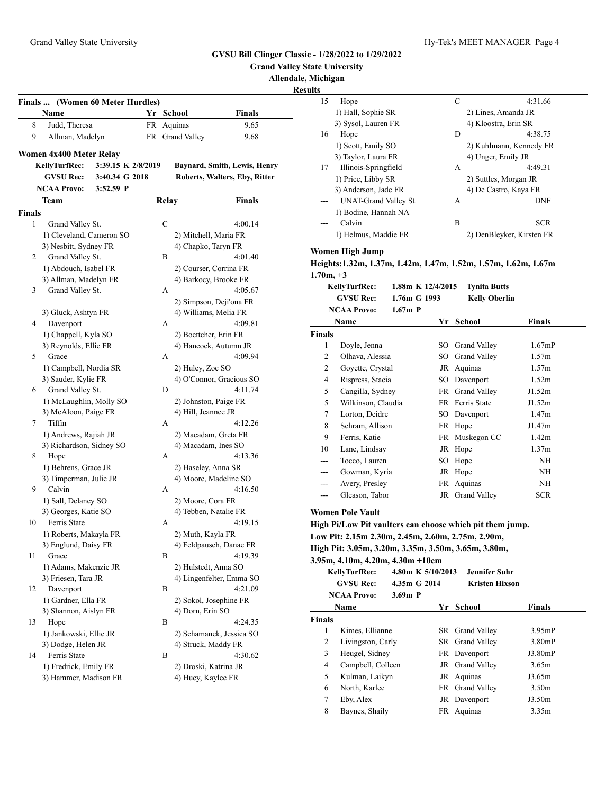7 Eby, Alex JR Davenport J3.50m 8 Baynes, Shaily FR Aquinas 3.35m

|               |                                     |                  |                               | <b>Grand Valley State University</b>                           |                   |                           |                         |
|---------------|-------------------------------------|------------------|-------------------------------|----------------------------------------------------------------|-------------------|---------------------------|-------------------------|
|               |                                     |                  |                               | Allendale, Michigan<br><b>Results</b>                          |                   |                           |                         |
|               | Finals  (Women 60 Meter Hurdles)    |                  |                               | 15<br>Hope                                                     |                   | $\mathbf C$               | 4:31.66                 |
|               | Name                                | Yr School        | <b>Finals</b>                 | 1) Hall, Sophie SR                                             |                   | 2) Lines, Amanda JR       |                         |
| 8             | Judd, Theresa                       | FR Aquinas       | 9.65                          | 3) Sysol, Lauren FR                                            |                   | 4) Kloostra, Erin SR      |                         |
| 9             | Allman, Madelyn                     | FR Grand Valley  | 9.68                          | Hope<br>16                                                     |                   | D                         | 4:38.75                 |
|               |                                     |                  |                               | 1) Scott, Emily SO                                             |                   |                           | 2) Kuhlmann, Kennedy FR |
|               | Women 4x400 Meter Relay             |                  |                               | 3) Taylor, Laura FR                                            |                   | 4) Unger, Emily JR        |                         |
|               | KellyTurfRec:<br>3:39.15 K 2/8/2019 |                  | Baynard, Smith, Lewis, Henry  | Illinois-Springfield<br>17                                     |                   | А                         | 4:49.31                 |
|               | <b>GVSU Rec:</b><br>3:40.34 G 2018  |                  | Roberts, Walters, Eby, Ritter | 1) Price, Libby SR                                             |                   | 2) Suttles, Morgan JR     |                         |
|               | 3:52.59 P<br><b>NCAA Provo:</b>     |                  |                               | 3) Anderson, Jade FR                                           |                   | 4) De Castro, Kaya FR     |                         |
|               | Team                                | Relay            | <b>Finals</b>                 | UNAT-Grand Valley St.                                          |                   | A                         | <b>DNF</b>              |
| <b>Finals</b> |                                     |                  |                               | 1) Bodine, Hannah NA                                           |                   |                           |                         |
| $\mathbf{1}$  | Grand Valley St.                    | $\mathbf C$      | 4:00.14                       | Calvin<br>---                                                  |                   | B                         | <b>SCR</b>              |
|               | 1) Cleveland, Cameron SO            |                  | 2) Mitchell, Maria FR         | 1) Helmus, Maddie FR                                           |                   | 2) DenBleyker, Kirsten FR |                         |
|               | 3) Nesbitt, Sydney FR               |                  | 4) Chapko, Taryn FR           |                                                                |                   |                           |                         |
| 2             | Grand Valley St.                    | B                | 4:01.40                       | <b>Women High Jump</b>                                         |                   |                           |                         |
|               | 1) Abdouch, Isabel FR               |                  | 2) Courser, Corrina FR        | Heights:1.32m, 1.37m, 1.42m, 1.47m, 1.52m, 1.57m, 1.62m, 1.67m |                   |                           |                         |
|               | 3) Allman, Madelyn FR               |                  | 4) Barkocy, Brooke FR         | $1.70m, +3$                                                    |                   |                           |                         |
| 3             | Grand Valley St.                    | A                | 4:05.67                       | KellyTurfRec:                                                  | 1.88m K 12/4/2015 | <b>Tynita Butts</b>       |                         |
|               |                                     |                  | 2) Simpson, Deji'ona FR       | <b>GVSU Rec:</b>                                               | 1.76m G 1993      | <b>Kelly Oberlin</b>      |                         |
|               | 3) Gluck, Ashtyn FR                 |                  | 4) Williams, Melia FR         | <b>NCAA Provo:</b>                                             | $1.67m$ P         |                           |                         |
| 4             | Davenport                           | A                | 4:09.81                       | Name                                                           |                   | Yr School                 | <b>Finals</b>           |
|               | 1) Chappell, Kyla SO                |                  | 2) Boettcher, Erin FR         | <b>Finals</b>                                                  |                   |                           |                         |
|               | 3) Reynolds, Ellie FR               |                  | 4) Hancock, Autumn JR         | Doyle, Jenna<br>1                                              |                   | SO Grand Valley           | $1.67$ m $P$            |
| 5             | Grace                               | A                | 4:09.94                       | $\overline{c}$<br>Olhava, Alessia                              |                   | SO Grand Valley           | 1.57m                   |
|               | 1) Campbell, Nordia SR              | 2) Huley, Zoe SO |                               | $\overline{2}$<br>Goyette, Crystal                             |                   | JR Aquinas                | 1.57m                   |
|               | 3) Sauder, Kylie FR                 |                  | 4) O'Connor, Gracious SO      | $\overline{4}$<br>Rispress, Stacia                             |                   | SO Davenport              | 1.52m                   |
| 6             | Grand Valley St.                    | D                | 4:11.74                       | 5<br>Cangilla, Sydney                                          |                   | FR Grand Valley           | J1.52m                  |
|               | 1) McLaughlin, Molly SO             |                  | 2) Johnston, Paige FR         | 5<br>Wilkinson, Claudia                                        |                   | FR Ferris State           | J1.52m                  |
|               | 3) McAloon, Paige FR                |                  | 4) Hill, Jeannee JR           | 7<br>Lorton, Deidre                                            |                   | SO Davenport              | 1.47m                   |
| 7             | Tiffin                              | A                | 4:12.26                       | 8<br>Schram, Allison                                           |                   | FR Hope                   | J1.47m                  |
|               | 1) Andrews, Rajiah JR               |                  | 2) Macadam, Greta FR          | 9<br>Ferris, Katie                                             |                   | FR Muskegon CC            | 1.42m                   |
|               | 3) Richardson, Sidney SO            |                  | 4) Macadam, Ines SO           | Lane, Lindsay<br>10                                            |                   | JR Hope                   | 1.37m                   |
| 8             | Hope                                | A                | 4:13.36                       | Tocco, Lauren<br>---                                           |                   | SO Hope                   | NH                      |
|               | 1) Behrens, Grace JR                |                  | 2) Haseley, Anna SR           | Gowman, Kyria<br>---                                           |                   | JR Hope                   | NH                      |
|               | 3) Timperman, Julie JR              |                  | 4) Moore, Madeline SO         | Avery, Presley<br>---                                          |                   | FR Aquinas                | NH                      |
| 9             | Calvin                              | A                | 4:16.50                       | Gleason, Tabor<br>---                                          |                   | JR Grand Valley           | <b>SCR</b>              |
|               | 1) Sall, Delaney SO                 |                  | 2) Moore, Cora FR             |                                                                |                   |                           |                         |
|               | 3) Georges, Katie SO                |                  | 4) Tebben, Natalie FR         | <b>Women Pole Vault</b>                                        |                   |                           |                         |
| 10            | Ferris State                        | A                | 4:19.15                       | High Pi/Low Pit vaulters can choose which pit them jump.       |                   |                           |                         |
|               | 1) Roberts, Makayla FR              |                  | 2) Muth, Kayla FR             | Low Pit: 2.15m 2.30m, 2.45m, 2.60m, 2.75m, 2.90m,              |                   |                           |                         |
|               | 3) Englund, Daisy FR                |                  | 4) Feldpausch, Danae FR       | High Pit: 3.05m, 3.20m, 3.35m, 3.50m, 3.65m, 3.80m,            |                   |                           |                         |
| 11            | Grace                               | B                | 4:19.39                       | 3.95m, 4.10m, 4.20m, 4.30m +10cm                               |                   |                           |                         |
|               | 1) Adams, Makenzie JR               |                  | 2) Hulstedt, Anna SO          | <b>KellyTurfRec:</b>                                           | 4.80m K 5/10/2013 | Jennifer Suhr             |                         |
|               | 3) Friesen, Tara JR                 |                  | 4) Lingenfelter, Emma SO      | <b>GVSU Rec:</b>                                               | 4.35m G 2014      | <b>Kristen Hixson</b>     |                         |
| 12            | Davenport                           | B                | 4:21.09                       | <b>NCAA Provo:</b>                                             | 3.69m P           |                           |                         |
|               | 1) Gardner, Ella FR                 |                  | 2) Sokol, Josephine FR        |                                                                |                   |                           |                         |
|               | 3) Shannon, Aislyn FR               | 4) Dorn, Erin SO |                               | Name                                                           |                   | Yr School                 | <b>Finals</b>           |
| 13            | Hope                                | B                | 4:24.35                       | <b>Finals</b>                                                  |                   |                           |                         |
|               | 1) Jankowski, Ellie JR              |                  | 2) Schamanek, Jessica SO      | Kimes, Ellianne<br>1                                           |                   | SR Grand Valley           | 3.95 <sub>mp</sub>      |
|               | 3) Dodge, Helen JR                  |                  | 4) Struck, Maddy FR           | Livingston, Carly<br>$\overline{\mathbf{c}}$                   |                   | SR Grand Valley           | 3.80mP                  |
| 14            | Ferris State                        | B                | 4:30.62                       | 3<br>Heugel, Sidney                                            |                   | FR Davenport              | J3.80mP                 |
|               | 1) Fredrick, Emily FR               |                  | 2) Droski, Katrina JR         | Campbell, Colleen<br>4                                         |                   | JR Grand Valley           | 3.65m                   |
|               | 3) Hammer, Madison FR               |                  | 4) Huey, Kaylee FR            | Kulman, Laikyn<br>5                                            |                   | JR Aquinas                | J3.65m                  |
|               |                                     |                  |                               | North, Karlee<br>6                                             |                   | FR Grand Valley           | 3.50m                   |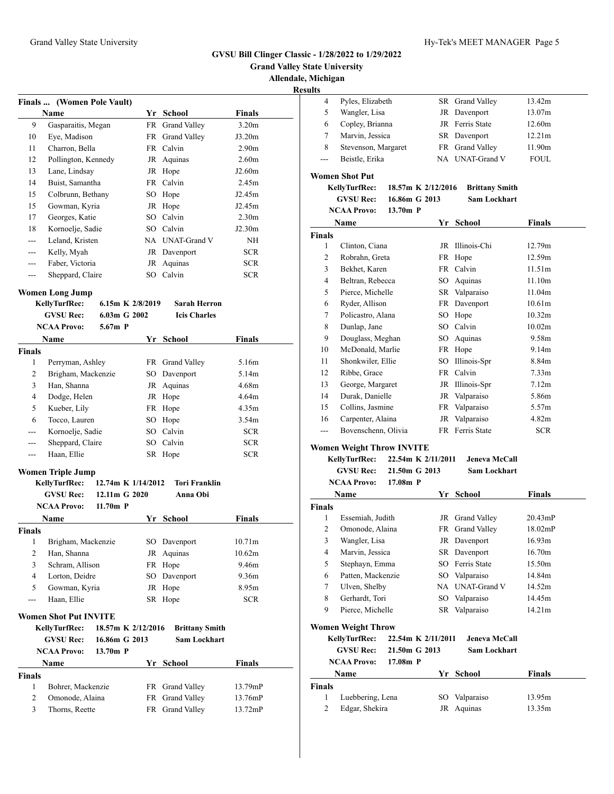**Finals ... (Women Pole Vault)**

**Name Yr School Finals** Gasparaitis, Megan FR Grand Valley 3.20m Eye, Madison FR Grand Valley J3.20m Charron, Bella FR Calvin 2.90m Pollington, Kennedy JR Aquinas 2.60m Lane, Lindsay JR Hope J2.60m Buist, Samantha FR Calvin 2.45m Colbrunn, Bethany SO Hope J2.45m Gowman, Kyria JR Hope J2.45m Georges, Katie SO Calvin 2.30m Kornoelje, Sadie SO Calvin J2.30m --- Leland, Kristen NA UNAT-Grand V NH --- Kelly, Myah JR Davenport SCR

#### **GVSU Bill Clinger Classic - 1/28/2022 to 1/29/2022**

**Grand Valley State University**

**Allendale, Michigan**

**Results**

**Finals** 

**Finals** 

# 4 Pyles, Elizabeth SR Grand Valley 13.42m 5 Wangler, Lisa JR Davenport 13.07m 6 Copley, Brianna JR Ferris State 12.60m 7 Marvin, Jessica SR Davenport 12.21m 8 Stevenson, Margaret FR Grand Valley 11.90m

| <b>Women Shot Put</b> |  |  |
|-----------------------|--|--|

| KellyTurfRec:      | 18.57m K 2/12/2016 | <b>Brittany Smith</b> |
|--------------------|--------------------|-----------------------|
| <b>GVSU Rec:</b>   | 16.86m G 2013      | <b>Sam Lockhart</b>   |
| <b>NCAA Provo:</b> | 13.70 $m$ P        |                       |

--- Beistle, Erika NA UNAT-Grand V FOUL

|        | Name                | Yr  | <b>School</b> | Finals            |  |
|--------|---------------------|-----|---------------|-------------------|--|
| Finals |                     |     |               |                   |  |
| 1      | Clinton, Ciana      | JR  | Illinois-Chi  | 12.79m            |  |
| 2      | Robrahn, Greta      | FR  | Hope          | 12.59m            |  |
| 3      | Bekhet, Karen       |     | FR Calvin     | 11.51m            |  |
| 4      | Beltran, Rebecca    | SO. | Aquinas       | 11.10m            |  |
| 5      | Pierce, Michelle    |     | SR Valparaiso | 11.04m            |  |
| 6      | Ryder, Allison      |     | FR Davenport  | 10.61m            |  |
| 7      | Policastro, Alana   | SO  | Hope          | 10.32m            |  |
| 8      | Dunlap, Jane        | SO. | Calvin        | 10.02m            |  |
| 9      | Douglass, Meghan    | SO. | Aquinas       | 9.58m             |  |
| 10     | McDonald, Marlie    |     | FR Hope       | 9.14m             |  |
| 11     | Shonkwiler, Ellie   | SO  | Illinois-Spr  | 8.84m             |  |
| 12     | Ribbe, Grace        |     | FR Calvin     | 7.33 <sub>m</sub> |  |
| 13     | George, Margaret    | JR  | Illinois-Spr  | 7.12m             |  |
| 14     | Durak, Danielle     |     | JR Valparaiso | 5.86m             |  |
| 15     | Collins, Jasmine    |     | FR Valparaiso | 5.57m             |  |
| 16     | Carpenter, Alaina   |     | JR Valparaiso | 4.82m             |  |
| ---    | Bovenschenn, Olivia | FR  | Ferris State  | <b>SCR</b>        |  |

#### **Women Weight Throw INVITE**

**KellyTurfRec: 22.54m K 2/11/2011 Jeneva McCall GVSU Rec: 21.50m G 2013 Sam Lockhart**

| 190 MG.          | 41.00M V 49. |  |
|------------------|--------------|--|
| $\Lambda$ Duesse | $17.09$ D    |  |

|                | <b>NCAA Provo:</b>        | $17.08m$ P         |      |                     |            |
|----------------|---------------------------|--------------------|------|---------------------|------------|
|                | Name                      |                    | Yr   | <b>School</b>       | Finals     |
| <b>Finals</b>  |                           |                    |      |                     |            |
| 1              | Essemiah, Judith          |                    |      | JR Grand Valley     | $20.43$ mP |
| 2              | Omonode, Alaina           |                    | FR   | Grand Valley        | 18.02mP    |
| 3              | Wangler, Lisa             |                    | JR   | Davenport           | 16.93m     |
| $\overline{4}$ | Marvin, Jessica           |                    |      | SR Davenport        | 16.70m     |
| 5              | Stephayn, Emma            |                    | SO.  | Ferris State        | 15.50m     |
| 6              | Patten, Mackenzie         |                    | SO.  | Valparaiso          | 14.84m     |
| 7              | Ulven, Shelby             |                    | NA - | <b>UNAT-Grand V</b> | 14.52m     |
| 8              | Gerhardt, Tori            |                    |      | SO Valparaiso       | 14.45m     |
| 9              | Pierce, Michelle          |                    | SR   | Valparaiso          | 14.21m     |
|                | <b>Women Weight Throw</b> |                    |      |                     |            |
|                | <b>KellyTurfRec:</b>      | 22.54m K 2/11/2011 |      | Jeneva McCall       |            |
|                | <b>GVSU Rec:</b>          | 21.50m G 2013      |      | <b>Sam Lockhart</b> |            |
|                | <b>NCAA Provo:</b>        | $17.08m$ P         |      |                     |            |
|                | Name                      |                    | Yr   | <b>School</b>       | Finals     |
| <b>Finals</b>  |                           |                    |      |                     |            |
| 1              | Luebbering, Lena          |                    | SO   | Valparaiso          | 13.95m     |
| $\overline{c}$ | Edgar, Shekira            |                    | JR   | Aquinas             | 13.35m     |

|               | Faber, Victoria          |                    | JR                 | Aquinas              | <b>SCR</b>    |
|---------------|--------------------------|--------------------|--------------------|----------------------|---------------|
|               | Sheppard, Claire         |                    | SO -               | Calvin               | <b>SCR</b>    |
|               | Women Long Jump          |                    |                    |                      |               |
|               | <b>KellyTurfRec:</b>     |                    | 6.15m K $2/8/2019$ | <b>Sarah Herron</b>  |               |
|               | <b>GVSU Rec:</b>         | $6.03m$ G 2002     |                    | <b>Icis Charles</b>  |               |
|               | <b>NCAA Provo:</b>       | $5.67m$ P          |                    |                      |               |
|               | Name                     |                    | Yr                 | School               | Finals        |
| <b>Finals</b> |                          |                    |                    |                      |               |
| 1             | Perryman, Ashley         |                    |                    | FR Grand Valley      | 5.16m         |
| 2             | Brigham, Mackenzie       |                    | SO.                | Davenport            | 5.14m         |
| 3             | Han, Shanna              |                    | JR                 | Aquinas              | 4.68m         |
| 4             | Dodge, Helen             |                    | JR                 | Hope                 | 4.64m         |
| 5             | Kueber, Lily             |                    | FR                 | Hope                 | 4.35m         |
| 6             | Tocco, Lauren            |                    | SO                 | Hope                 | 3.54m         |
| $---$         | Kornoelje, Sadie         |                    | SO.                | Calvin               | <b>SCR</b>    |
| ---           | Sheppard, Claire         |                    |                    | SO Calvin            | <b>SCR</b>    |
| ---           | Haan, Ellie              |                    |                    | SR Hope              | <b>SCR</b>    |
|               | <b>Women Triple Jump</b> |                    |                    |                      |               |
|               | KellyTurfRec:            | 12.74m K 1/14/2012 |                    | <b>Tori Franklin</b> |               |
|               | <b>GVSU Rec:</b>         | 12.11m G 2020      |                    | Anna Obi             |               |
|               | NCAA Provo:              | $11.70m$ P         |                    |                      |               |
|               | Name                     |                    | Yr                 | <b>School</b>        | <b>Finals</b> |

| Finals         |                                            |     |                       |            |
|----------------|--------------------------------------------|-----|-----------------------|------------|
| 1              | Brigham, Mackenzie                         | SO. | Davenport             | 10.71m     |
| 2              | Han, Shanna                                | JR  | Aquinas               | 10.62m     |
| 3              | Schram, Allison                            | FR. | Hope                  | 9.46m      |
| $\overline{4}$ | Lorton, Deidre                             | SO. | Davenport             | 9.36m      |
| 5              | Gowman, Kyria                              | JR  | Hope                  | 8.95m      |
| ---            | Haan, Ellie                                |     | SR Hope               | <b>SCR</b> |
|                | Women Shot Put INVITE                      |     |                       |            |
|                | <b>KellyTurfRec:</b><br>18.57m K 2/12/2016 |     | <b>Brittany Smith</b> |            |
|                | <b>GVSU Rec:</b><br>16.86m G 2013          |     | <b>Sam Lockhart</b>   |            |
|                | <b>NCAA Provo:</b><br>$13.70m$ P           |     |                       |            |
|                | <b>Name</b>                                | Yr  | <b>School</b>         | Finals     |
| Finals         |                                            |     |                       |            |
| 1              | Bohrer, Mackenzie                          |     | FR Grand Valley       | 13.79mP    |
| 2              | Omonode, Alaina                            | FR  | <b>Grand Valley</b>   | 13.76mP    |
| 3              | Thorns, Reette                             | FR  | <b>Grand Valley</b>   | 13.72mP    |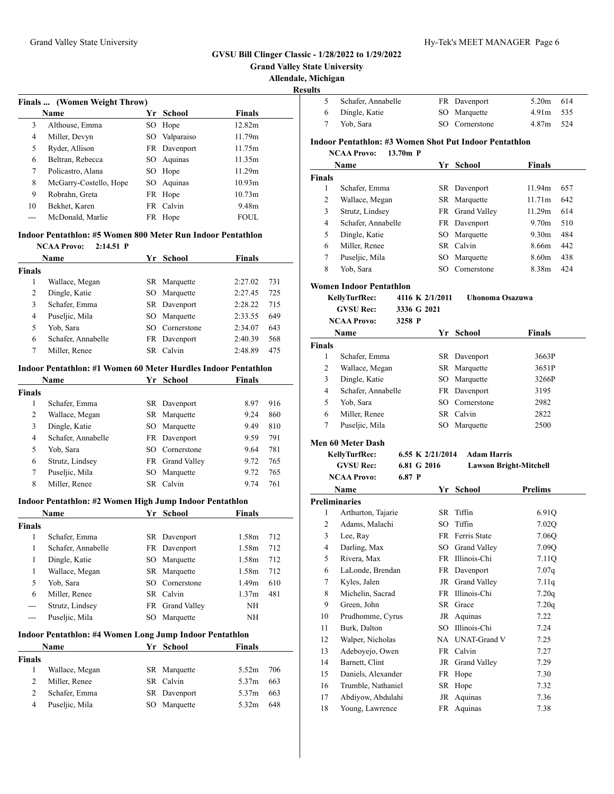$\overline{a}$ 

#### **GVSU Bill Clinger Classic - 1/28/2022 to 1/29/2022**

**Grand Valley State University**

Allendale, M

**Resul** 

|       | Finals  (Women Weight Throw)                                |     |              |               | 5             | Schafer, Annabell                    |
|-------|-------------------------------------------------------------|-----|--------------|---------------|---------------|--------------------------------------|
|       | <b>Name</b>                                                 |     | Yr School    | <b>Finals</b> | 6             | Dingle, Katie                        |
| 3     | Althouse, Emma                                              |     | SO Hope      | 12.82m        | 7             | Yob, Sara                            |
| 4     | Miller, Devyn                                               | SO. | Valparaiso   | 11.79m        |               | <b>Indoor Pentathlon: #3 V</b>       |
| 5     | Ryder, Allison                                              |     | FR Davenport | 11.75m        |               | <b>NCAA Provo:</b><br>13.            |
| 6     | Beltran, Rebecca                                            |     | SO Aquinas   | 11.35m        |               |                                      |
| 7     | Policastro, Alana                                           |     | SO Hope      | 11.29m        |               | <b>Name</b>                          |
| 8     | McGarry-Costello, Hope                                      |     | SO Aquinas   | 10.93m        | <b>Finals</b> |                                      |
| 9     | Robrahn, Greta                                              |     | FR Hope      | 10.73m        | 1             | Schafer, Emma                        |
| 10    | Bekhet, Karen                                               |     | FR Calvin    | 9.48m         | 2             | Wallace, Megan                       |
| $---$ | McDonald, Marlie                                            |     | FR Hope      | <b>FOUL</b>   | 3<br>4        | Strutz, Lindsey<br>Schafer, Annabell |
|       | Indoor Pentathlon: #5 Women 800 Meter Run Indoor Pentathlon |     |              |               | 5             | Dingle, Katie                        |
|       | <b>NCAA Provo:</b><br>$2:14.51$ P                           |     |              |               | 6             | Miller, Renee                        |
|       | <b>Name</b>                                                 | Yr  | School       | <b>Finals</b> | 7             | Puseljic, Mila                       |

|               | . <b>.</b>         |     | ~~~~~~       | .       |     |
|---------------|--------------------|-----|--------------|---------|-----|
| <b>Finals</b> |                    |     |              |         |     |
|               | Wallace, Megan     |     | SR Marquette | 2:27.02 | 731 |
| 2             | Dingle, Katie      | SO  | Marquette    | 2:27.45 | 725 |
| 3             | Schafer, Emma      |     | SR Davenport | 2:28.22 | 715 |
| 4             | Puseljic, Mila     |     | SO Marquette | 2:33.55 | 649 |
| 5             | Yob, Sara          | SO. | Cornerstone  | 2:34.07 | 643 |
| 6             | Schafer, Annabelle |     | FR Davenport | 2:40.39 | 568 |
|               | Miller, Renee      | SR. | Calvin       | 2:48.89 | 475 |

#### **Indoor Pentathlon: #1 Women 60 Meter Hurdles Indoor Pentathlon**

| Name          |                    | Yr  | <b>School</b>   | Finals |     |
|---------------|--------------------|-----|-----------------|--------|-----|
| <b>Finals</b> |                    |     |                 |        |     |
| 1             | Schafer, Emma      |     | SR Davenport    | 8.97   | 916 |
| 2             | Wallace, Megan     |     | SR Marquette    | 9.24   | 860 |
| 3             | Dingle, Katie      | SO  | Marquette       | 9.49   | 810 |
| 4             | Schafer, Annabelle |     | FR Davenport    | 9.59   | 791 |
| 5             | Yob, Sara          | SO. | Cornerstone     | 9.64   | 781 |
| 6             | Strutz, Lindsey    |     | FR Grand Valley | 9.72   | 765 |
| 7             | Puseljic, Mila     | SО  | Marquette       | 9.72   | 765 |
| 8             | Miller, Renee      | SR. | Calvin          | 9.74   | 761 |

#### **Indoor Pentathlon: #2 Women High Jump Indoor Pentathlon**

|        | Name                                                    |    | Yr School           | <b>Finals</b>     |     |
|--------|---------------------------------------------------------|----|---------------------|-------------------|-----|
| Finals |                                                         |    |                     |                   |     |
| 1      | Schafer, Emma                                           |    | SR Davenport        | 1.58m             | 712 |
| 1      | Schafer, Annabelle                                      | FR | Davenport           | 1.58m             | 712 |
| 1      | Dingle, Katie                                           | SО | Marquette           | 1.58m             | 712 |
| 1      | Wallace, Megan                                          | SR | Marquette           | 1.58m             | 712 |
| 5      | Yob, Sara                                               | SO | Cornerstone         | 1.49 <sub>m</sub> | 610 |
| 6      | Miller, Renee                                           |    | SR Calvin           | 1.37m             | 481 |
| ---    | Strutz, Lindsey                                         | FR | <b>Grand Valley</b> | <b>NH</b>         |     |
|        | Puseljic, Mila                                          | SO | Marquette           | NH                |     |
|        | Indoor Pentathlon: #4 Women Long Jump Indoor Pentathlon |    |                     |                   |     |
|        | Name                                                    | Yr | <b>School</b>       | Finals            |     |
| Finals |                                                         |    |                     |                   |     |
| 1      | Wallace, Megan                                          | SR | Marquette           | 5.52m             | 706 |
| 2      | Miller, Renee                                           | SR | Calvin              | 5.37m             | 663 |
| 2      | Schafer, Emma                                           | SR | Davenport           | 5.37m             | 663 |
| 4      | Puseljic, Mila                                          | SО | Marquette           | 5.32m             | 648 |
|        |                                                         |    |                     |                   |     |

| Michigan                |                                                               |            |                  |                     |                               |  |
|-------------------------|---------------------------------------------------------------|------------|------------------|---------------------|-------------------------------|--|
| ults                    |                                                               |            |                  |                     |                               |  |
| 5                       | Schafer, Annabelle                                            |            |                  | FR Davenport        | 5.20m<br>614                  |  |
| 6                       | Dingle, Katie                                                 |            | SO               | Marquette           | 535<br>4.91m                  |  |
| 7                       | Yob, Sara                                                     |            |                  | SO Cornerstone      | 4.87m<br>524                  |  |
|                         | <b>Indoor Pentathlon: #3 Women Shot Put Indoor Pentathlon</b> |            |                  |                     |                               |  |
|                         | <b>NCAA Provo:</b>                                            | $13.70m$ P |                  |                     |                               |  |
|                         | Name                                                          |            |                  | Yr School           | Finals                        |  |
| <b>Finals</b>           |                                                               |            |                  |                     |                               |  |
| 1                       | Schafer, Emma                                                 |            |                  | SR Davenport        | 11.94m<br>657                 |  |
| 2                       | Wallace, Megan                                                |            |                  | SR Marquette        | 11.71m<br>642                 |  |
| 3                       | Strutz, Lindsey                                               |            |                  | FR Grand Valley     | 614<br>11.29m                 |  |
| 4                       | Schafer, Annabelle                                            |            |                  | FR Davenport        | 510<br>9.70m                  |  |
| 5                       | Dingle, Katie                                                 |            |                  | SO Marquette        | 9.30 <sub>m</sub><br>484      |  |
| 6                       | Miller, Renee                                                 |            |                  | SR Calvin           | 8.66m<br>442                  |  |
| 7                       | Puseljic, Mila                                                |            |                  | SO Marquette        | 8.60m<br>438                  |  |
| 8                       | Yob, Sara                                                     |            |                  | SO Cornerstone      | 8.38m<br>424                  |  |
|                         | Women Indoor Pentathlon                                       |            |                  |                     |                               |  |
|                         | KellyTurfRec:                                                 |            | 4116 K 2/1/2011  | Uhonoma Osazuwa     |                               |  |
|                         | <b>GVSU Rec:</b>                                              |            | 3336 G 2021      |                     |                               |  |
|                         | <b>NCAA Provo:</b>                                            | 3258 P     |                  |                     |                               |  |
|                         | Name                                                          |            |                  | Yr School           | Finals                        |  |
| <b>Finals</b>           |                                                               |            |                  |                     |                               |  |
| 1                       | Schafer, Emma                                                 |            |                  | SR Davenport        | 3663P                         |  |
| 2                       | Wallace, Megan                                                |            |                  | SR Marquette        | 3651P                         |  |
| 3                       | Dingle, Katie                                                 |            |                  | SO Marquette        | 3266P                         |  |
| $\overline{4}$          | Schafer, Annabelle                                            |            |                  | FR Davenport        | 3195                          |  |
| 5                       | Yob, Sara                                                     |            |                  | SO Cornerstone      | 2982                          |  |
| 6                       | Miller, Renee                                                 |            |                  | SR Calvin           | 2822                          |  |
| 7                       | Puseljic, Mila                                                |            |                  | SO Marquette        | 2500                          |  |
|                         | <b>Men 60 Meter Dash</b>                                      |            |                  |                     |                               |  |
|                         | KellyTurfRec:                                                 |            | 6.55 K 2/21/2014 | <b>Adam Harris</b>  |                               |  |
|                         | <b>GVSU Rec:</b>                                              |            | 6.81 G 2016      |                     | <b>Lawson Bright-Mitchell</b> |  |
|                         | <b>NCAA Provo:</b>                                            | $6.87$ P   |                  |                     |                               |  |
|                         | Name                                                          |            |                  | Yr School           | Prelims                       |  |
|                         | <b>Preliminaries</b>                                          |            |                  |                     |                               |  |
| 1                       | Arthurton, Tajarie                                            |            |                  | SR Tiffin           | 6.91Q                         |  |
| $\overline{\mathbf{c}}$ | Adams, Malachi                                                |            |                  | SO Tiffin           | $7.02Q$                       |  |
| 3                       | Lee, Ray                                                      |            |                  | FR Ferris State     | 7.06Q                         |  |
| $\overline{4}$          | Darling, Max                                                  |            | SO               | Grand Valley        | 7.09Q                         |  |
| 5                       | Rivera, Max                                                   |            |                  | FR Illinois-Chi     | 7.11Q                         |  |
| 6                       | LaLonde, Brendan                                              |            | FR               | Davenport           | 7.07q                         |  |
| $\tau$                  | Kyles, Jalen                                                  |            | JR               | <b>Grand Valley</b> | 7.11q                         |  |
| 8                       | Michelin, Sacrad                                              |            | FR               | Illinois-Chi        | 7.20q                         |  |
| 9                       | Green, John                                                   |            | SR               | Grace               | 7.20q                         |  |
| 10                      | Prudhomme, Cyrus                                              |            | JR               | Aquinas             | 7.22                          |  |
| 11                      | Burk, Dalton                                                  |            | SO.              | Illinois-Chi        | 7.24                          |  |
| 12                      | Walper, Nicholas                                              |            | NA               | <b>UNAT-Grand V</b> | 7.25                          |  |
| 13                      | Adeboyejo, Owen                                               |            |                  | FR Calvin           | 7.27                          |  |
| 14                      | Barnett, Clint                                                |            | JR               | <b>Grand Valley</b> | 7.29                          |  |
| 15                      | Daniels, Alexander                                            |            | FR               | Hope                | 7.30                          |  |
| 16                      | Trumble, Nathaniel                                            |            |                  | SR Hope             | 7.32                          |  |
|                         |                                                               |            |                  |                     |                               |  |

 Abdiyow, Abdulahi JR Aquinas 7.36 Young, Lawrence FR Aquinas 7.38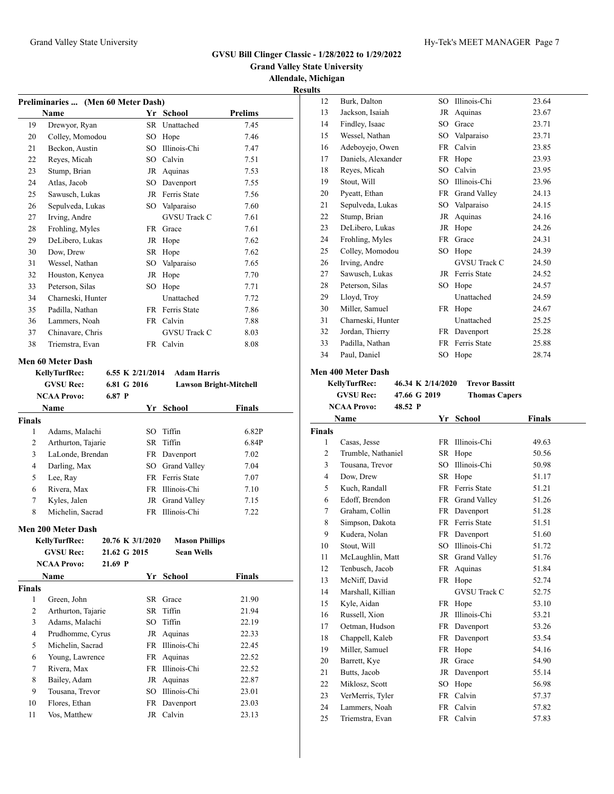### **Grand Valley State University Allendale, Michigan Results**

|                                                                   | Preliminaries  (Men 60 Meter Dash) |           |                     |      |  |  |  |  |
|-------------------------------------------------------------------|------------------------------------|-----------|---------------------|------|--|--|--|--|
| <b>Name</b><br>Yr School<br><b>Prelims</b>                        |                                    |           |                     |      |  |  |  |  |
| 19                                                                | Drewyor, Ryan                      | SR        | Unattached          | 7.45 |  |  |  |  |
| 20                                                                | Colley, Momodou                    | SO.       | Hope                | 7.46 |  |  |  |  |
| 21                                                                | Beckon, Austin                     | SO.       | Illinois-Chi        | 7.47 |  |  |  |  |
| 22                                                                | Reyes, Micah                       | SO        | Calvin              | 7.51 |  |  |  |  |
| 23                                                                | Stump, Brian                       | JR        | Aquinas             | 7.53 |  |  |  |  |
| 24                                                                | Atlas, Jacob                       | SO        | Davenport           | 7.55 |  |  |  |  |
| 25                                                                | Sawusch, Lukas                     | JR        | Ferris State        | 7.56 |  |  |  |  |
| 26                                                                | Sepulveda, Lukas                   | SO.       | Valparaiso          | 7.60 |  |  |  |  |
| 27                                                                | Irving, Andre                      |           | <b>GVSU Track C</b> | 7.61 |  |  |  |  |
| 28                                                                | Frohling, Myles                    | <b>FR</b> | Grace               | 7.61 |  |  |  |  |
| 29                                                                | DeLibero, Lukas                    | JR        | Hope                | 7.62 |  |  |  |  |
| 30                                                                | Dow, Drew                          | SR.       | Hope                | 7.62 |  |  |  |  |
| 31                                                                | Wessel, Nathan                     | SO.       | Valparaiso          | 7.65 |  |  |  |  |
| 32                                                                | Houston, Kenyea                    | JR        | Hope                | 7.70 |  |  |  |  |
| 33                                                                | Peterson, Silas                    | SO.       | Hope                | 7.71 |  |  |  |  |
| 34                                                                | Charneski, Hunter                  |           | Unattached          | 7.72 |  |  |  |  |
| 35                                                                | Padilla, Nathan                    | FR.       | Ferris State        | 7.86 |  |  |  |  |
| 36                                                                | Lammers, Noah                      | <b>FR</b> | Calvin              | 7.88 |  |  |  |  |
| 37                                                                | Chinavare, Chris                   |           | <b>GVSU Track C</b> | 8.03 |  |  |  |  |
| 38                                                                | Triemstra, Evan                    | FR        | Calvin              | 8.08 |  |  |  |  |
| Men 60 Meter Dash<br>$CSE V 2/21/2014$ Adam Hamis<br>17 .U. T. AD |                                    |           |                     |      |  |  |  |  |

|        | Kelly furfRec:<br><b>GVSU Rec:</b><br><b>NCAA Provo:</b> | 6.55 K 2/21/2014<br>6.81 G 2016<br>6.87P |     | <b>Adam Harris</b> | <b>Lawson Bright-Mitchell</b> |
|--------|----------------------------------------------------------|------------------------------------------|-----|--------------------|-------------------------------|
|        | <b>Name</b>                                              |                                          |     | Yr School          | <b>Finals</b>                 |
| Finals |                                                          |                                          |     |                    |                               |
| 1      | Adams, Malachi                                           |                                          | SO. | Tiffin             | 6.82P                         |
| 2      | Arthurton, Tajarie                                       |                                          |     | SR Tiffin          | 6.84P                         |
| 3      | LaLonde, Brendan                                         |                                          |     | FR Davenport       | 7.02                          |
| 4      | Darling, Max                                             |                                          |     | SO Grand Valley    | 7.04                          |
| 5      | Lee, Ray                                                 |                                          |     | FR Ferris State    | 7.07                          |
| 6      | Rivera, Max                                              |                                          |     | FR Illinois-Chi    | 7.10                          |
| 7      | Kyles, Jalen                                             |                                          |     | JR Grand Valley    | 7.15                          |
| 8      | Michelin, Sacrad                                         |                                          | FR. | Illinois-Chi       | 7.22                          |
|        |                                                          |                                          |     |                    |                               |

# **Men 200 Meter Dash**

|               | <b>KellyTurfRec:</b> |              | 20.76 K 3/1/2020 | <b>Mason Phillips</b> |        |
|---------------|----------------------|--------------|------------------|-----------------------|--------|
|               | <b>GVSU Rec:</b>     | 21.62 G 2015 |                  | <b>Sean Wells</b>     |        |
|               | <b>NCAA Provo:</b>   | $21.69$ P    |                  |                       |        |
|               | Name                 |              | Yr               | School                | Finals |
| <b>Finals</b> |                      |              |                  |                       |        |
| 1             | Green, John          |              |                  | SR Grace              | 21.90  |
| 2             | Arthurton, Tajarie   |              |                  | SR Tiffin             | 21.94  |
| 3             | Adams, Malachi       |              |                  | SO Tiffin             | 22.19  |
| 4             | Prudhomme, Cyrus     |              |                  | JR Aquinas            | 22.33  |
| 5             | Michelin, Sacrad     |              |                  | FR Illinois-Chi       | 22.45  |
| 6             | Young, Lawrence      |              |                  | FR Aquinas            | 22.52  |
| 7             | Rivera, Max          |              |                  | FR Illinois-Chi       | 22.52  |
| 8             | Bailey, Adam         |              |                  | JR Aquinas            | 22.87  |
| 9             | Tousana, Trevor      |              | SO               | Illinois-Chi          | 23.01  |
| 10            | Flores, Ethan        |              |                  | FR Davenport          | 23.03  |
| 11            | Vos, Matthew         |              |                  | JR Calvin             | 23.13  |
|               |                      |              |                  |                       |        |

| 12 | Burk, Dalton       | SO        | Illinois-Chi        | 23.64 |
|----|--------------------|-----------|---------------------|-------|
| 13 | Jackson, Isaiah    | JR        | Aquinas             | 23.67 |
| 14 | Findley, Isaac     | SO.       | Grace               | 23.71 |
| 15 | Wessel, Nathan     | SO.       | Valparaiso          | 23.71 |
| 16 | Adeboyejo, Owen    | <b>FR</b> | Calvin              | 23.85 |
| 17 | Daniels, Alexander | <b>FR</b> | Hope                | 23.93 |
| 18 | Reyes, Micah       | SO.       | Calvin              | 23.95 |
| 19 | Stout, Will        | <b>SO</b> | Illinois-Chi        | 23.96 |
| 20 | Pyeatt, Ethan      | FR        | <b>Grand Valley</b> | 24.13 |
| 21 | Sepulveda, Lukas   | SO        | Valparaiso          | 24.15 |
| 22 | Stump, Brian       | JR        | Aquinas             | 24.16 |
| 23 | DeLibero, Lukas    | JR        | Hope                | 24.26 |
| 24 | Frohling, Myles    | <b>FR</b> | Grace               | 24.31 |
| 25 | Colley, Momodou    | SO.       | Hope                | 24.39 |
| 26 | Irving, Andre      |           | <b>GVSU Track C</b> | 24.50 |
| 27 | Sawusch, Lukas     | <b>JR</b> | Ferris State        | 24.52 |
| 28 | Peterson, Silas    | SO.       | Hope                | 24.57 |
| 29 | Lloyd, Troy        |           | Unattached          | 24.59 |
| 30 | Miller, Samuel     | <b>FR</b> | Hope                | 24.67 |
| 31 | Charneski, Hunter  |           | Unattached          | 25.25 |
| 32 | Jordan, Thierry    | FR        | Davenport           | 25.28 |
| 33 | Padilla, Nathan    | <b>FR</b> | Ferris State        | 25.88 |
| 34 | Paul, Daniel       | SO.       | Hope                | 28.74 |

#### **Men 400 Meter Dash**

**KellyTurfRec: 46.34 K 2/14/2020 Trevor Bassitt GVSU Rec: 47.66 G 2019 Thomas Capers NCAA Provo: 48.52 P**

|                | Name               | Yr        | <b>School</b>       | <b>Finals</b> |  |
|----------------|--------------------|-----------|---------------------|---------------|--|
| <b>Finals</b>  |                    |           |                     |               |  |
| 1              | Casas, Jesse       | <b>FR</b> | Illinois-Chi        | 49.63         |  |
| $\overline{c}$ | Trumble, Nathaniel | SR.       | Hope                | 50.56         |  |
| 3              | Tousana, Trevor    | SO.       | Illinois-Chi        | 50.98         |  |
| $\overline{4}$ | Dow, Drew          | SR        | Hope                | 51.17         |  |
| 5              | Kuch, Randall      | <b>FR</b> | Ferris State        | 51.21         |  |
| 6              | Edoff, Brendon     | FR        | <b>Grand Valley</b> | 51.26         |  |
| 7              | Graham, Collin     | <b>FR</b> | Davenport           | 51.28         |  |
| 8              | Simpson, Dakota    | <b>FR</b> | Ferris State        | 51.51         |  |
| 9              | Kudera, Nolan      |           | FR Davenport        | 51.60         |  |
| 10             | Stout, Will        | <b>SO</b> | Illinois-Chi        | 51.72         |  |
| 11             | McLaughlin, Matt   | <b>SR</b> | <b>Grand Valley</b> | 51.76         |  |
| 12             | Tenbusch, Jacob    | FR        | Aquinas             | 51.84         |  |
| 13             | McNiff, David      | FR        | Hope                | 52.74         |  |
| 14             | Marshall, Killian  |           | <b>GVSU Track C</b> | 52.75         |  |
| 15             | Kyle, Aidan        | FR        | Hope                | 53.10         |  |
| 16             | Russell, Xion      | JR        | Illinois-Chi        | 53.21         |  |
| 17             | Oetman, Hudson     | <b>FR</b> | Davenport           | 53.26         |  |
| 18             | Chappell, Kaleb    | FR.       | Davenport           | 53.54         |  |
| 19             | Miller, Samuel     | FR        | Hope                | 54.16         |  |
| 20             | Barrett, Kye       | JR        | Grace               | 54.90         |  |
| 21             | Butts, Jacob       | JR        | Davenport           | 55.14         |  |
| 22             | Miklosz, Scott     | SO.       | Hope                | 56.98         |  |
| 23             | VerMerris, Tyler   | FR.       | Calvin              | 57.37         |  |
| 24             | Lammers, Noah      | FR        | Calvin              | 57.82         |  |
| 25             | Triemstra, Evan    |           | FR Calvin           | 57.83         |  |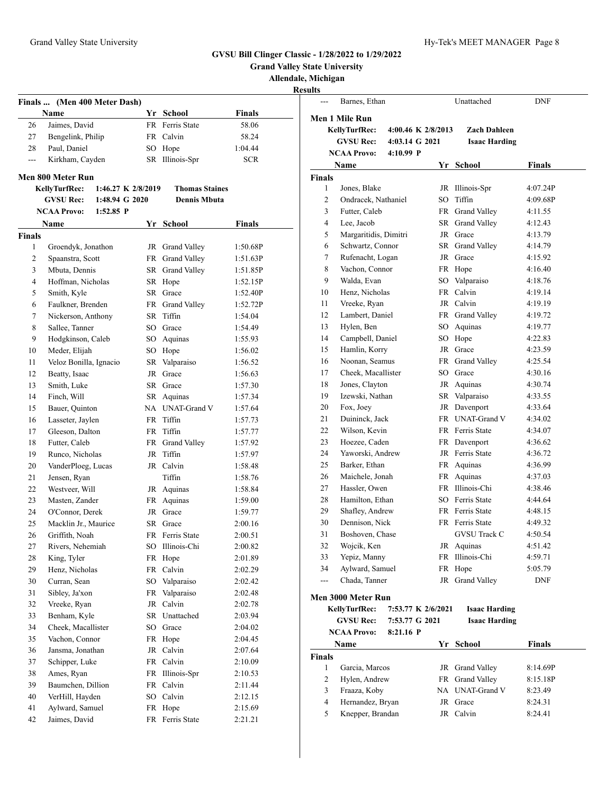|                |                                            |    |                       |               | <b>Grand Valley State University</b>  |                       |                |                    |                      |               |
|----------------|--------------------------------------------|----|-----------------------|---------------|---------------------------------------|-----------------------|----------------|--------------------|----------------------|---------------|
|                |                                            |    |                       |               | Allendale, Michigan<br><b>Results</b> |                       |                |                    |                      |               |
|                | Finals  (Men 400 Meter Dash)               |    |                       |               | $\overline{a}$                        | Barnes, Ethan         |                |                    | Unattached           | <b>DNF</b>    |
|                | Name                                       |    | Yr School             | Finals        |                                       |                       |                |                    |                      |               |
| 26             | Jaimes, David                              |    | FR Ferris State       | 58.06         |                                       | <b>Men 1 Mile Run</b> |                |                    |                      |               |
| 27             | Bengelink, Philip                          |    | FR Calvin             | 58.24         |                                       | KellyTurfRec:         |                | 4:00.46 K 2/8/2013 | <b>Zach Dahleen</b>  |               |
| 28             | Paul, Daniel                               |    | SO Hope               | 1:04.44       |                                       | <b>GVSU Rec:</b>      | 4:03.14 G 2021 |                    | <b>Isaac Harding</b> |               |
| $\frac{1}{2}$  | Kirkham, Cayden                            |    | SR Illinois-Spr       | <b>SCR</b>    |                                       | <b>NCAA Provo:</b>    | $4:10.99$ P    |                    |                      |               |
|                |                                            |    |                       |               |                                       | Name                  |                |                    | Yr School            | Finals        |
|                | <b>Men 800 Meter Run</b>                   |    |                       |               | Finals                                |                       |                |                    |                      |               |
|                | <b>KellyTurfRec:</b><br>1:46.27 K 2/8/2019 |    | <b>Thomas Staines</b> |               | 1                                     | Jones, Blake          |                |                    | JR Illinois-Spr      | 4:07.24P      |
|                | 1:48.94 G 2020<br><b>GVSU Rec:</b>         |    | <b>Dennis Mbuta</b>   |               | $\overline{c}$                        | Ondracek, Nathaniel   |                |                    | SO Tiffin            | 4:09.68P      |
|                | $1:52.85$ P<br><b>NCAA Provo:</b>          |    |                       |               | 3                                     | Futter, Caleb         |                |                    | FR Grand Valley      | 4:11.55       |
|                | Name                                       |    | Yr School             | <b>Finals</b> | $\overline{4}$                        | Lee, Jacob            |                |                    | SR Grand Valley      | 4:12.43       |
| <b>Finals</b>  |                                            |    |                       |               | 5                                     | Margaritidis, Dimitri |                |                    | JR Grace             | 4:13.79       |
| 1              | Groendyk, Jonathon                         |    | JR Grand Valley       | 1:50.68P      | 6                                     | Schwartz, Connor      |                |                    | SR Grand Valley      | 4:14.79       |
| $\overline{c}$ | Spaanstra, Scott                           |    | FR Grand Valley       | 1:51.63P      | 7                                     | Rufenacht, Logan      |                | JR                 | Grace                | 4:15.92       |
| 3              | Mbuta, Dennis                              |    | SR Grand Valley       | 1:51.85P      | 8                                     | Vachon, Connor        |                |                    | FR Hope              | 4:16.40       |
| $\overline{4}$ | Hoffman, Nicholas                          |    | SR Hope               | 1:52.15P      | 9                                     | Walda, Evan           |                |                    | SO Valparaiso        | 4:18.76       |
| 5              | Smith, Kyle                                |    | SR Grace              | 1:52.40P      | 10                                    | Henz, Nicholas        |                |                    | FR Calvin            | 4:19.14       |
| 6              | Faulkner, Brenden                          |    | FR Grand Valley       | 1:52.72P      | 11                                    | Vreeke, Ryan          |                |                    | JR Calvin            | 4:19.19       |
| $\tau$         | Nickerson, Anthony                         |    | SR Tiffin             | 1:54.04       | 12                                    | Lambert, Daniel       |                |                    | FR Grand Valley      | 4:19.72       |
| 8              | Sallee, Tanner                             | SO | Grace                 | 1:54.49       | 13                                    | Hylen, Ben            |                | SO                 | Aquinas              | 4:19.77       |
| 9              | Hodgkinson, Caleb                          | SO | Aquinas               | 1:55.93       | 14                                    | Campbell, Daniel      |                |                    | SO Hope              | 4:22.83       |
| 10             | Meder, Elijah                              |    | SO Hope               | 1:56.02       | 15                                    | Hamlin, Korry         |                |                    | JR Grace             | 4:23.59       |
| 11             | Veloz Bonilla, Ignacio                     |    | SR Valparaiso         | 1:56.52       | 16                                    | Noonan, Seamus        |                |                    | FR Grand Valley      | 4:25.54       |
| 12             | Beatty, Isaac                              | JR | Grace                 | 1:56.63       | 17                                    | Cheek, Macallister    |                | SO                 | Grace                | 4:30.16       |
| 13             | Smith, Luke                                |    | SR Grace              | 1:57.30       | 18                                    | Jones, Clayton        |                |                    | JR Aquinas           | 4:30.74       |
| 14             | Finch, Will                                |    | SR Aquinas            | 1:57.34       | 19                                    | Izewski, Nathan       |                |                    | SR Valparaiso        | 4:33.55       |
| 15             | Bauer, Quinton                             |    | NA UNAT-Grand V       | 1:57.64       | 20                                    | Fox, Joey             |                |                    | JR Davenport         | 4:33.64       |
| 16             | Lasseter, Jaylen                           | FR | Tiffin                | 1:57.73       | 21                                    | Duininck, Jack        |                |                    | FR UNAT-Grand V      | 4:34.02       |
| 17             | Gleeson, Dalton                            |    | FR Tiffin             | 1:57.77       | 22                                    | Wilson, Kevin         |                |                    | FR Ferris State      | 4:34.07       |
| 18             | Futter, Caleb                              |    | FR Grand Valley       | 1:57.92       | 23                                    | Hoezee, Caden         |                |                    | FR Davenport         | 4:36.62       |
| 19             | Runco, Nicholas                            |    | JR Tiffin             | 1:57.97       | 24                                    | Yaworski, Andrew      |                |                    | JR Ferris State      | 4:36.72       |
| 20             | VanderPloeg, Lucas                         |    | JR Calvin             | 1:58.48       | 25                                    | Barker, Ethan         |                |                    | FR Aquinas           | 4:36.99       |
| 21             | Jensen, Ryan                               |    | Tiffin                | 1:58.76       | 26                                    | Maichele, Jonah       |                |                    | FR Aquinas           | 4:37.03       |
| 22             | Westveer, Will                             |    | JR Aquinas            | 1:58.84       | 27                                    | Hassler, Owen         |                |                    | FR Illinois-Chi      | 4:38.46       |
| 23             | Masten, Zander                             |    | FR Aquinas            | 1:59.00       | 28                                    | Hamilton, Ethan       |                |                    | SO Ferris State      | 4:44.64       |
| 24             | O'Connor, Derek                            |    | JR Grace              | 1:59.77       | 29                                    | Shafley, Andrew       |                |                    | FR Ferris State      | 4:48.15       |
| 25             | Macklin Jr., Maurice                       |    | SR Grace              | 2:00.16       | 30                                    | Dennison, Nick        |                |                    | FR Ferris State      | 4:49.32       |
| 26             | Griffith, Noah                             |    | FR Ferris State       | 2:00.51       | 31                                    | Boshoven, Chase       |                |                    | <b>GVSU Track C</b>  | 4:50.54       |
| 27             | Rivers, Nehemiah                           | SO | Illinois-Chi          | 2:00.82       | 32                                    | Wojcik, Ken           |                |                    | JR Aquinas           | 4:51.42       |
| 28             | King, Tyler                                |    | FR Hope               | 2:01.89       | 33                                    | Yepiz, Manny          |                |                    | FR Illinois-Chi      | 4:59.71       |
| 29             | Henz, Nicholas                             |    | FR Calvin             | 2:02.29       | 34                                    | Aylward, Samuel       |                |                    | FR Hope              | 5:05.79       |
| 30             | Curran, Sean                               |    | SO Valparaiso         | 2:02.42       | $\qquad \qquad - -$                   | Chada, Tanner         |                |                    | JR Grand Valley      | <b>DNF</b>    |
| 31             | Sibley, Ja'xon                             |    | FR Valparaiso         | 2:02.48       |                                       |                       |                |                    |                      |               |
| 32             | Vreeke, Ryan                               |    | JR Calvin             | 2:02.78       |                                       | Men 3000 Meter Run    |                |                    |                      |               |
| 33             | Benham, Kyle                               |    | SR Unattached         | 2:03.94       |                                       | KellyTurfRec:         |                | 7:53.77 K 2/6/2021 | <b>Isaac Harding</b> |               |
| 34             | Cheek, Macallister                         |    | SO Grace              | 2:04.02       |                                       | <b>GVSU Rec:</b>      | 7:53.77 G 2021 |                    | <b>Isaac Harding</b> |               |
| 35             | Vachon, Connor                             |    | FR Hope               | 2:04.45       |                                       | <b>NCAA Provo:</b>    | 8:21.16 P      |                    |                      |               |
|                | Jansma, Jonathan                           |    | JR Calvin             | 2:07.64       |                                       | Name                  |                |                    | Yr School            | <b>Finals</b> |
| 36             |                                            |    |                       |               | Finals                                |                       |                |                    |                      |               |
| 37             | Schipper, Luke                             |    | FR Calvin             | 2:10.09       | 1                                     | Garcia, Marcos        |                |                    | JR Grand Valley      | 8:14.69P      |
| 38             | Ames, Ryan                                 |    | FR Illinois-Spr       | 2:10.53       | 2                                     | Hylen, Andrew         |                |                    | FR Grand Valley      | 8:15.18P      |
| 39             | Baumchen, Dillion                          |    | FR Calvin             | 2:11.44       | 3                                     | Fraaza, Koby          |                |                    | NA UNAT-Grand V      | 8:23.49       |
| 40             | VerHill, Hayden                            | SO | Calvin                | 2:12.15       | $\overline{4}$                        | Hernandez, Bryan      |                |                    | JR Grace             | 8:24.31       |
| 41             | Aylward, Samuel                            |    | FR Hope               | 2:15.69       | 5                                     | Knepper, Brandan      |                |                    | JR Calvin            | 8:24.41       |
| 42             | Jaimes, David                              |    | FR Ferris State       | 2:21.21       |                                       |                       |                |                    |                      |               |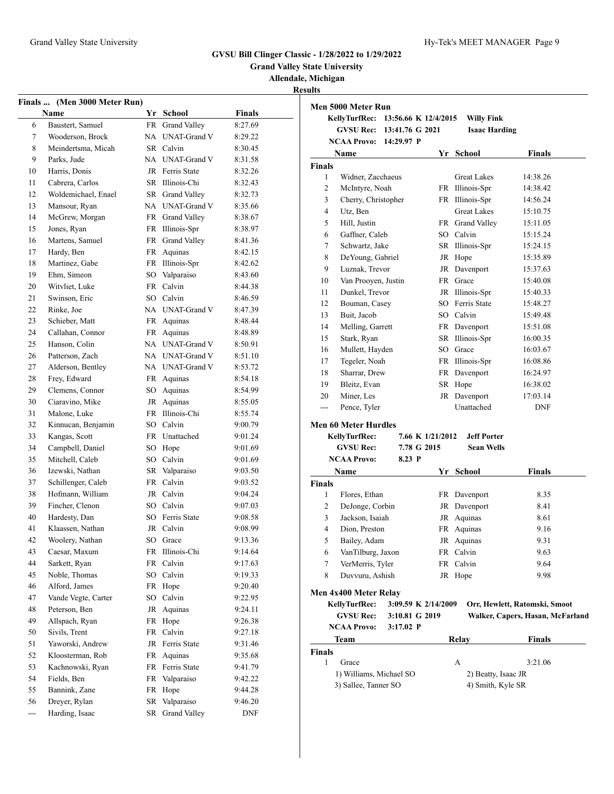**Grand Valley State University**

# **Allendale, Michigan**

**Results**

|     | Finals  (Men 3000 Meter Run) |           |                     |         |
|-----|------------------------------|-----------|---------------------|---------|
|     | <b>Name</b>                  | Yr        | School              | Finals  |
| 6   | Baustert, Samuel             | FR -      | Grand Valley        | 8:27.69 |
| 7   | Wooderson, Brock             | NA        | <b>UNAT-Grand V</b> | 8:29.22 |
| 8   | Meindertsma, Micah           | SR        | Calvin              | 8:30.45 |
| 9   | Parks, Jude                  | NA        | <b>UNAT-Grand V</b> | 8:31.58 |
| 10  | Harris, Donis                | JR        | Ferris State        | 8:32.26 |
| 11  | Cabrera, Carlos              | SR        | Illinois-Chi        | 8:32.43 |
| 12  | Woldemichael, Enael          |           | SR Grand Valley     | 8:32.73 |
| 13  | Mansour, Ryan                | NA        | <b>UNAT-Grand V</b> | 8:35.66 |
| 14  | McGrew, Morgan               | FR        | Grand Valley        | 8:38.67 |
| 15  | Jones, Ryan                  | <b>FR</b> | Illinois-Spr        | 8:38.97 |
| 16  | Martens, Samuel              | FR        | Grand Valley        | 8:41.36 |
| 17  | Hardy, Ben                   | FR        | Aquinas             | 8:42.15 |
| 18  | Martinez, Gabe               | FR        | Illinois-Spr        | 8:42.62 |
| 19  | Ehm, Simeon                  | SO        | Valparaiso          | 8:43.60 |
| 20  | Witvliet, Luke               | FR        | Calvin              | 8:44.38 |
| 21  | Swinson, Eric                |           | SO Calvin           | 8:46.59 |
| 22  | Rinke, Joe                   | NA        | <b>UNAT-Grand V</b> | 8:47.39 |
| 23  | Schieber, Matt               | FR        | Aquinas             | 8:48.44 |
| 24  | Callahan, Connor             | <b>FR</b> | Aquinas             | 8:48.89 |
| 25  | Hanson, Colin                | NA        | <b>UNAT-Grand V</b> | 8:50.91 |
| 26  | Patterson, Zach              | NA        | <b>UNAT-Grand V</b> | 8:51.10 |
| 27  | Alderson, Bentley            | NA        | <b>UNAT-Grand V</b> | 8:53.72 |
| 28  | Frey, Edward                 | FR        | Aquinas             | 8:54.18 |
| 29  | Clemens, Connor              | SO        | Aquinas             | 8:54.99 |
| 30  | Ciaravino, Mike              | JR        | Aquinas             | 8:55.05 |
| 31  | Malone, Luke                 | FR        | Illinois-Chi        | 8:55.74 |
| 32  | Kinnucan, Benjamin           |           | SO Calvin           | 9:00.79 |
| 33  | Kangas, Scott                | FR        | Unattached          | 9:01.24 |
| 34  | Campbell, Daniel             | SO.       | Hope                | 9:01.69 |
| 35  | Mitchell, Caleb              | SO        | Calvin              | 9:01.69 |
| 36  | Izewski, Nathan              | SR        | Valparaiso          | 9:03.50 |
| 37  | Schillenger, Caleb           | FR.       | Calvin              | 9:03.52 |
| 38  | Hofmann, William             | JR        | Calvin              | 9:04.24 |
| 39  | Fincher, Clenon              |           | SO Calvin           | 9:07.03 |
| 40  | Hardesty, Dan                | SO.       | Ferris State        | 9:08.58 |
| 41  | Klaassen, Nathan             | JR        | Calvin              | 9:08.99 |
| 42  | Woolery, Nathan              | SO        | Grace               | 9:13.36 |
| 43  | Caesar, Maxum                | FR        | Illinois-Chi        | 9:14.64 |
| 44  | Sarkett, Ryan                | FR        | Calvin              | 9:17.63 |
| 45  | Noble, Thomas                | SO        | Calvin              | 9:19.33 |
| 46  | Alford, James                | <b>FR</b> | Hope                | 9:20.40 |
| 47  | Vande Vegte, Carter          | SO        | Calvin              | 9:22.95 |
| 48  | Peterson, Ben                | JR        | Aquinas             | 9:24.11 |
| 49  | Allspach, Ryan               | FR        | Hope                | 9:26.38 |
| 50  | Sivils, Trent                | FR        | Calvin              | 9:27.18 |
| 51  | Yaworski, Andrew             | JR        | Ferris State        | 9:31.46 |
| 52  | Kloosterman, Rob             | FR        | Aquinas             | 9:35.68 |
| 53  | Kachnowski, Ryan             | FR        | Ferris State        | 9:41.79 |
| 54  | Fields, Ben                  | FR.       | Valparaiso          | 9:42.22 |
| 55  | Bannink, Zane                | FR        | Hope                | 9:44.28 |
| 56  | Dreyer, Rylan                | SR        | Valparaiso          | 9:46.20 |
| --- | Harding, Isaac               | SR.       | Grand Valley        | DNF     |

|                          | KellyTurfRec:                                   | 13:56.66 K 12/4/2015 |                  | <b>Willy Fink</b>                        |                                  |
|--------------------------|-------------------------------------------------|----------------------|------------------|------------------------------------------|----------------------------------|
|                          | <b>GVSU Rec:</b>                                | 13:41.76 G 2021      |                  | <b>Isaac Harding</b>                     |                                  |
|                          | <b>NCAA Provo:</b>                              | 14:29.97 P           |                  |                                          |                                  |
|                          | Name                                            |                      |                  | Yr School                                | <b>Finals</b>                    |
| <b>Finals</b>            |                                                 |                      |                  |                                          |                                  |
| 1                        | Widner, Zacchaeus                               |                      |                  | <b>Great Lakes</b>                       | 14:38.26                         |
| 2                        | McIntyre, Noah                                  |                      |                  | FR Illinois-Spr                          | 14:38.42                         |
| 3                        | Cherry, Christopher                             |                      |                  | FR Illinois-Spr                          | 14:56.24                         |
| $\overline{4}$           | Utz, Ben                                        |                      |                  | <b>Great Lakes</b>                       | 15:10.75                         |
| 5                        | Hill, Justin                                    |                      |                  | FR Grand Valley                          | 15:11.05                         |
| 6                        | Gaffner, Caleb                                  |                      |                  | SO Calvin                                | 15:15.24                         |
| 7                        | Schwartz, Jake                                  |                      |                  | SR Illinois-Spr                          | 15:24.15                         |
| 8                        | DeYoung, Gabriel                                |                      |                  | JR Hope                                  | 15:35.89                         |
| 9                        | Luznak, Trevor                                  |                      |                  | JR Davenport                             | 15:37.63                         |
| 10                       | Van Prooyen, Justin                             |                      |                  | FR Grace                                 | 15:40.08                         |
| 11                       | Dunkel, Trevor                                  |                      |                  | JR Illinois-Spr                          | 15:40.33                         |
| 12                       | Bouman, Casey                                   |                      |                  | SO Ferris State                          | 15:48.27                         |
| 13                       | Buit, Jacob                                     |                      |                  | SO Calvin                                | 15:49.48                         |
| 14                       | Melling, Garrett                                |                      |                  | FR Davenport                             | 15:51.08                         |
| 15                       | Stark, Ryan                                     |                      |                  | SR Illinois-Spr                          | 16:00.35                         |
| 16                       | Mullett, Hayden                                 |                      |                  | SO Grace                                 | 16:03.67                         |
| 17                       | Tegeler, Noah                                   |                      |                  | FR Illinois-Spr                          | 16:08.86                         |
| 18                       | Sharrar, Drew                                   |                      |                  | FR Davenport                             | 16:24.97                         |
| 19                       | Bleitz, Evan                                    |                      |                  | SR Hope                                  | 16:38.02                         |
| 20                       | Miner, Les                                      |                      |                  | JR Davenport                             | 17:03.14                         |
| $\overline{\phantom{a}}$ | Pence, Tyler                                    |                      |                  | Unattached                               | <b>DNF</b>                       |
|                          |                                                 |                      |                  |                                          |                                  |
|                          |                                                 |                      |                  |                                          |                                  |
|                          | <b>Men 60 Meter Hurdles</b>                     |                      | 7.66 K 1/21/2012 | <b>Jeff Porter</b>                       |                                  |
|                          | <b>KellyTurfRec:</b><br><b>GVSU Rec:</b>        | 7.78 G 2015          |                  | <b>Sean Wells</b>                        |                                  |
|                          | <b>NCAA Provo:</b>                              | 8.23 P               |                  |                                          |                                  |
|                          |                                                 |                      |                  |                                          |                                  |
|                          | Name                                            |                      |                  | Yr School                                | <b>Finals</b>                    |
| 1                        |                                                 |                      |                  |                                          |                                  |
|                          | Flores, Ethan                                   |                      |                  | FR Davenport                             | 8.35                             |
| 2                        | DeJonge, Corbin                                 |                      |                  | JR Davenport                             | 8.41<br>8.61                     |
| 3                        | Jackson, Isaiah                                 |                      |                  | JR Aquinas                               |                                  |
| 4                        | Dion, Preston                                   |                      | FR               | Aquinas                                  | 9.16                             |
| 5                        | Bailey, Adam                                    |                      |                  | JR Aquinas                               | 9.31                             |
| 6                        | VanTilburg, Jaxon                               |                      |                  | FR Calvin                                | 9.63                             |
| 7                        | VerMerris, Tyler                                |                      | FR               | Calvin                                   | 9.64                             |
| 8                        | Duvvuru, Ashish                                 |                      |                  | JR Hope                                  | 9.98                             |
|                          | Men 4x400 Meter Relay                           |                      |                  |                                          |                                  |
|                          | <b>KellyTurfRec:</b>                            | 3:09.59 K 2/14/2009  |                  |                                          | Orr, Hewlett, Ratomski, Smoot    |
|                          | <b>GVSU Rec:</b>                                | 3:10.81 G 2019       |                  |                                          |                                  |
|                          | <b>NCAA Provo:</b>                              | $3:17.02$ P          |                  |                                          |                                  |
|                          | Team                                            |                      |                  | <b>Relay</b>                             | <b>Finals</b>                    |
|                          |                                                 |                      |                  |                                          | Walker, Capers, Hasan, McFarland |
| 1                        | Grace                                           |                      |                  | А                                        | 3:21.06                          |
| Finals<br><b>Finals</b>  | 1) Williams, Michael SO<br>3) Sallee, Tanner SO |                      |                  | 2) Beatty, Isaac JR<br>4) Smith, Kyle SR |                                  |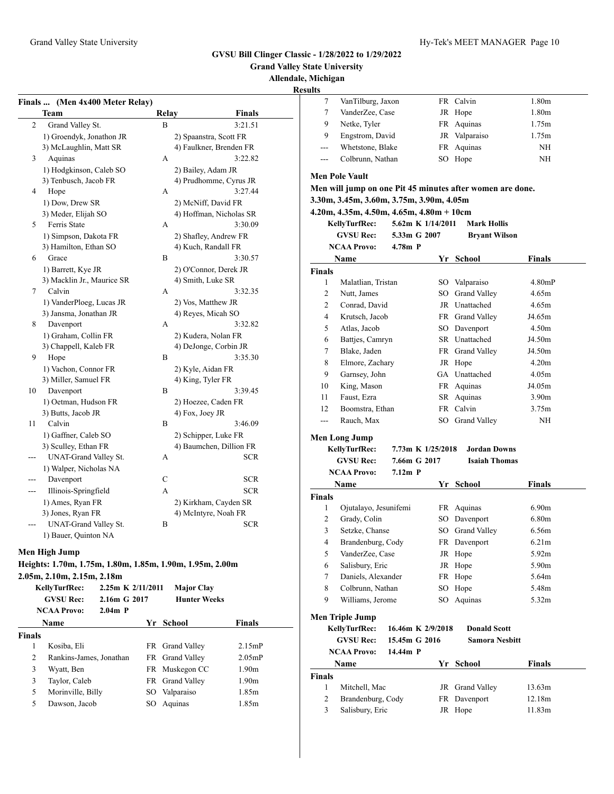**Grand Valley State University**

**Allendale, Michigan**

**Resul** 

|     | Finals  (Men 4x400 Meter Relay) |       |                         |
|-----|---------------------------------|-------|-------------------------|
|     | <b>Team</b>                     | Relay | <b>Finals</b>           |
| 2   | Grand Valley St.                | B     | 3:21.51                 |
|     | 1) Groendyk, Jonathon JR        |       | 2) Spaanstra, Scott FR  |
|     | 3) McLaughlin, Matt SR          |       | 4) Faulkner, Brenden FR |
| 3   | Aquinas                         | A     | 3:22.82                 |
|     | 1) Hodgkinson, Caleb SO         |       | 2) Bailey, Adam JR      |
|     | 3) Tenbusch, Jacob FR           |       | 4) Prudhomme, Cyrus JR  |
| 4   | Hope                            | А     | 3:27.44                 |
|     | 1) Dow, Drew SR                 |       | 2) McNiff, David FR     |
|     | 3) Meder, Elijah SO             |       | 4) Hoffman, Nicholas SR |
| 5   | Ferris State                    | A     | 3:30.09                 |
|     | 1) Simpson, Dakota FR           |       | 2) Shafley, Andrew FR   |
|     | 3) Hamilton, Ethan SO           |       | 4) Kuch, Randall FR     |
| 6   | Grace                           | B     | 3:30.57                 |
|     | 1) Barrett, Kye JR              |       | 2) O'Connor, Derek JR   |
|     | 3) Macklin Jr., Maurice SR      |       | 4) Smith, Luke SR       |
| 7   | Calvin                          | A     | 3:32.35                 |
|     | 1) VanderPloeg, Lucas JR        |       | 2) Vos, Matthew JR      |
|     | 3) Jansma, Jonathan JR          |       | 4) Reyes, Micah SO      |
| 8   | Davenport                       | A     | 3:32.82                 |
|     | 1) Graham, Collin FR            |       | 2) Kudera, Nolan FR     |
|     | 3) Chappell, Kaleb FR           |       | 4) DeJonge, Corbin JR   |
| 9   | Hope                            | B     | 3:35.30                 |
|     | 1) Vachon, Connor FR            |       | 2) Kyle, Aidan FR       |
|     | 3) Miller, Samuel FR            |       | 4) King, Tyler FR       |
| 10  | Davenport                       | B     | 3:39.45                 |
|     | 1) Oetman, Hudson FR            |       | 2) Hoezee, Caden FR     |
|     | 3) Butts, Jacob JR              |       | 4) Fox, Joey JR         |
| 11  | Calvin                          | В     | 3:46.09                 |
|     | 1) Gaffner, Caleb SO            |       | 2) Schipper, Luke FR    |
|     | 3) Sculley, Ethan FR            |       | 4) Baumchen, Dillion FR |
|     | <b>UNAT-Grand Valley St.</b>    | А     | <b>SCR</b>              |
|     | 1) Walper, Nicholas NA          |       |                         |
|     | Davenport                       | C     | <b>SCR</b>              |
| --- | Illinois-Springfield            | A     | <b>SCR</b>              |
|     | 1) Ames, Ryan FR                |       | 2) Kirkham, Cayden SR   |
|     | 3) Jones, Ryan FR               |       | 4) McIntyre, Noah FR    |
|     | <b>UNAT-Grand Valley St.</b>    | B     | <b>SCR</b>              |
|     | 1) Bauer, Quinton NA            |       |                         |

#### **Men High Jump**

**Heights: 1.70m, 1.75m, 1.80m, 1.85m, 1.90m, 1.95m, 2.00m**

**2.05m, 2.10m, 2.15m, 2.18m**

|               | KellyTurfRec:<br><b>GVSU Rec:</b><br><b>NCAA Provo:</b> | 2.25m K 2/11/2011<br>2.16m G 2017<br>$2.04m$ P |    | <b>Major Clay</b><br><b>Hunter Weeks</b> |                   |
|---------------|---------------------------------------------------------|------------------------------------------------|----|------------------------------------------|-------------------|
|               | <b>Name</b>                                             |                                                |    | Yr School                                | <b>Finals</b>     |
| <b>Finals</b> |                                                         |                                                |    |                                          |                   |
| 1             | Kosiba, Eli                                             |                                                |    | FR Grand Valley                          | 2.15mP            |
| 2             | Rankins-James, Jonathan                                 |                                                |    | FR Grand Valley                          | $2.05$ mP         |
| 3             | Wyatt, Ben                                              |                                                |    | FR Muskegon CC                           | 1.90 <sub>m</sub> |
| 3             | Taylor, Caleb                                           |                                                |    | FR Grand Valley                          | 1.90 <sub>m</sub> |
| 5             | Morinville, Billy                                       |                                                |    | SO Valparaiso                            | 1.85m             |
| 5             | Dawson, Jacob                                           |                                                | SO | Aquinas                                  | 1.85m             |

| ults           |                                                             |                   |    |                       |               |
|----------------|-------------------------------------------------------------|-------------------|----|-----------------------|---------------|
| 7              | VanTilburg, Jaxon                                           |                   |    | FR Calvin             | 1.80m         |
| 7              | VanderZee, Case                                             |                   |    | JR Hope               | 1.80m         |
| 9              | Netke, Tyler                                                |                   |    | FR Aquinas            | 1.75m         |
| 9              | Engstrom, David                                             |                   |    | JR Valparaiso         | 1.75m         |
| ---            | Whetstone, Blake                                            |                   |    | FR Aquinas            | NH            |
| ---            | Colbrunn, Nathan                                            |                   |    | SO Hope               | NH            |
|                | <b>Men Pole Vault</b>                                       |                   |    |                       |               |
|                |                                                             |                   |    |                       |               |
|                | Men will jump on one Pit 45 minutes after women are done.   |                   |    |                       |               |
|                | 3.30m, 3.45m, 3.60m, 3.75m, 3.90m, 4.05m                    |                   |    |                       |               |
|                | $4.20m, 4.35m, 4.50m, 4.65m, 4.80m + 10cm$<br>KellyTurfRec: | 5.62m K 1/14/2011 |    | <b>Mark Hollis</b>    |               |
|                | <b>GVSU Rec:</b>                                            | 5.33m G 2007      |    |                       |               |
|                | <b>NCAA Provo:</b>                                          | $4.78m$ P         |    | <b>Bryant Wilson</b>  |               |
|                |                                                             |                   |    |                       |               |
|                | Name                                                        |                   |    | Yr School             | Finals        |
| <b>Finals</b>  |                                                             |                   |    |                       |               |
| 1              | Malatlian, Tristan                                          |                   |    | SO Valparaiso         | 4.80mP        |
| 2              | Nutt, James                                                 |                   |    | SO Grand Valley       | 4.65m         |
| $\overline{c}$ | Conrad, David                                               |                   |    | JR Unattached         | 4.65m         |
| $\overline{4}$ | Krutsch, Jacob                                              |                   |    | FR Grand Valley       | J4.65m        |
| 5              | Atlas, Jacob                                                |                   |    | SO Davenport          | 4.50m         |
| 6              | Battjes, Camryn                                             |                   |    | SR Unattached         | J4.50m        |
| 7              | Blake, Jaden                                                |                   |    | FR Grand Valley       | J4.50m        |
| 8              | Elmore, Zachary                                             |                   |    | JR Hope               | 4.20m         |
| 9              | Garnsey, John                                               |                   |    | GA Unattached         | 4.05m         |
| 10             | King, Mason                                                 |                   |    | FR Aquinas            | J4.05m        |
| 11             | Faust, Ezra                                                 |                   |    | SR Aquinas            | 3.90m         |
| 12             | Boomstra, Ethan                                             |                   |    | FR Calvin             | 3.75m         |
| $---$          | Rauch, Max                                                  |                   |    | SO Grand Valley       | ΝH            |
|                | <b>Men Long Jump</b>                                        |                   |    |                       |               |
|                | KellyTurfRec:                                               | 7.73m K 1/25/2018 |    | <b>Jordan Downs</b>   |               |
|                | <b>GVSU Rec:</b>                                            | 7.66m G 2017      |    | <b>Isaiah Thomas</b>  |               |
|                | <b>NCAA Provo:</b>                                          | $7.12m$ P         |    |                       |               |
|                | <b>Name</b>                                                 |                   |    | Yr School             | Finals        |
| Finals         |                                                             |                   |    |                       |               |
| 1              | Ojutalayo, Jesunifemi                                       |                   |    | FR Aquinas            | 6.90m         |
| $\overline{2}$ | Grady, Colin                                                |                   |    | SO Davenport          | 6.80m         |
| 3              | Setzke, Chanse                                              |                   |    | SO Grand Valley       | 6.56m         |
| 4              | Brandenburg, Cody                                           |                   |    | FR Davenport          | 6.21m         |
| 5              | VanderZee, Case                                             |                   |    | JR Hope               | 5.92m         |
| 6              | Salisbury, Eric                                             |                   |    | JR Hope               | 5.90m         |
| 7              | Daniels, Alexander                                          |                   |    | FR Hope               | 5.64m         |
| 8              | Colbrunn, Nathan                                            |                   | SO | Hope                  | 5.48m         |
| 9              | Williams, Jerome                                            |                   | SO | Aquinas               | 5.32m         |
|                |                                                             |                   |    |                       |               |
|                | <b>Men Triple Jump</b>                                      |                   |    |                       |               |
|                | KellyTurfRec:                                               | 16.46m K 2/9/2018 |    | <b>Donald Scott</b>   |               |
|                | <b>GVSU Rec:</b>                                            | 15.45m G 2016     |    | <b>Samora Nesbitt</b> |               |
|                | <b>NCAA Provo:</b>                                          | 14.44m P          |    |                       |               |
|                | Name                                                        |                   |    | Yr School             | <b>Finals</b> |
| Finals         |                                                             |                   |    |                       |               |
| 1              | Mitchell, Mac                                               |                   | JR | Grand Valley          | 13.63m        |
| $\overline{c}$ | Brandenburg, Cody                                           |                   | FR | Davenport             | 12.18m        |
| 3              | Salisbury, Eric                                             |                   |    | JR Hope               | 11.83m        |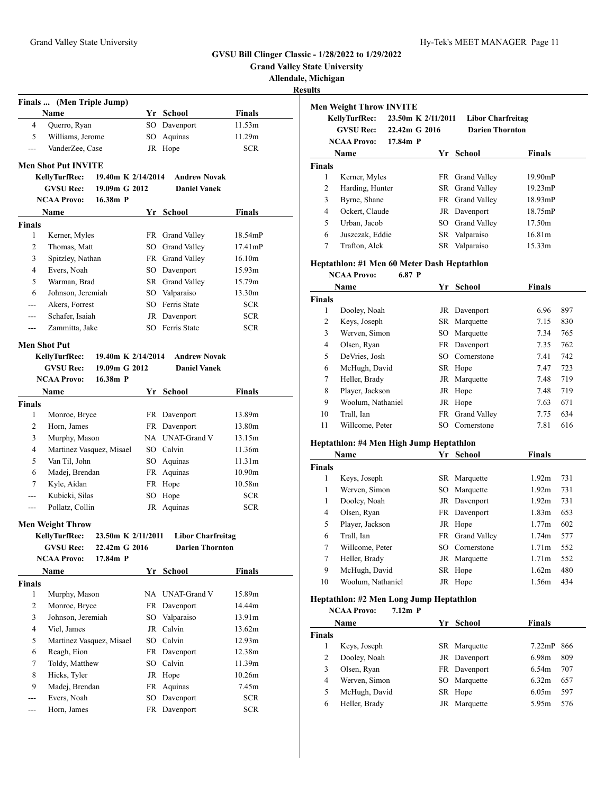**Grand Valley State University**

**Results**

|                            | Finals  (Men Triple Jump)                                         |                                     |      |                                            |               |  |  |  |  |
|----------------------------|-------------------------------------------------------------------|-------------------------------------|------|--------------------------------------------|---------------|--|--|--|--|
|                            | Name                                                              |                                     |      | Yr School                                  | <b>Finals</b> |  |  |  |  |
| 4                          | Querro, Ryan                                                      |                                     |      | SO Davenport                               | 11.53m        |  |  |  |  |
| 5                          | Williams, Jerome                                                  |                                     | SO - | Aquinas                                    | 11.29m        |  |  |  |  |
| ---                        | VanderZee, Case                                                   |                                     |      | JR Hope                                    | <b>SCR</b>    |  |  |  |  |
| <b>Men Shot Put INVITE</b> |                                                                   |                                     |      |                                            |               |  |  |  |  |
|                            | <b>KellyTurfRec:</b><br>19.40m K 2/14/2014<br><b>Andrew Novak</b> |                                     |      |                                            |               |  |  |  |  |
|                            | <b>GVSU Rec:</b>                                                  | 19.09m G 2012                       |      | <b>Daniel Vanek</b>                        |               |  |  |  |  |
|                            | <b>NCAA Provo:</b>                                                | 16.38m P                            |      |                                            |               |  |  |  |  |
|                            | Name                                                              |                                     |      | Yr School                                  | Finals        |  |  |  |  |
| <b>Finals</b>              |                                                                   |                                     |      |                                            |               |  |  |  |  |
| 1                          | Kerner, Myles                                                     |                                     |      | FR Grand Valley                            | 18.54mP       |  |  |  |  |
| 2                          | Thomas, Matt                                                      |                                     |      | SO Grand Valley                            | $17.41$ m $P$ |  |  |  |  |
| 3                          | Spitzley, Nathan                                                  |                                     |      | FR Grand Valley                            | 16.10m        |  |  |  |  |
| 4                          | Evers, Noah                                                       |                                     |      | SO Davenport                               | 15.93m        |  |  |  |  |
| 5                          | Warman, Brad                                                      |                                     |      | SR Grand Valley                            | 15.79m        |  |  |  |  |
| 6                          | Johnson, Jeremiah                                                 |                                     |      | SO Valparaiso                              | 13.30m        |  |  |  |  |
| $---$                      | Akers, Forrest                                                    |                                     |      | SO Ferris State                            | <b>SCR</b>    |  |  |  |  |
| ---                        | Schafer, Isaiah                                                   |                                     |      | JR Davenport                               | <b>SCR</b>    |  |  |  |  |
| $---$                      | Zammitta, Jake                                                    |                                     |      | SO Ferris State                            | <b>SCR</b>    |  |  |  |  |
|                            |                                                                   |                                     |      |                                            |               |  |  |  |  |
|                            | Men Shot Put                                                      |                                     |      |                                            |               |  |  |  |  |
|                            | KellyTurfRec:<br><b>GVSU Rec:</b>                                 | 19.40m K 2/14/2014<br>19.09m G 2012 |      | <b>Andrew Novak</b><br><b>Daniel Vanek</b> |               |  |  |  |  |
|                            | <b>NCAA Provo:</b>                                                | $16.38m$ P                          |      |                                            |               |  |  |  |  |
|                            | Name                                                              |                                     |      | Yr School                                  | <b>Finals</b> |  |  |  |  |
| Finals                     |                                                                   |                                     |      |                                            |               |  |  |  |  |
| 1                          | Monroe, Bryce                                                     |                                     |      | FR Davenport                               | 13.89m        |  |  |  |  |
| 2                          | Horn, James                                                       |                                     |      | FR Davenport                               | 13.80m        |  |  |  |  |
| 3                          | Murphy, Mason                                                     |                                     |      | NA UNAT-Grand V                            | 13.15m        |  |  |  |  |
| 4                          | Martinez Vasquez, Misael                                          |                                     |      | SO Calvin                                  | 11.36m        |  |  |  |  |
| 5                          | Van Til, John                                                     |                                     |      | SO Aquinas                                 | 11.31m        |  |  |  |  |
| 6                          | Madej, Brendan                                                    |                                     | FR   | Aquinas                                    | 10.90m        |  |  |  |  |
| 7                          | Kyle, Aidan                                                       |                                     | FR   | Hope                                       | 10.58m        |  |  |  |  |
| ---                        | Kubicki, Silas                                                    |                                     | SO   | Hope                                       | <b>SCR</b>    |  |  |  |  |
| $---$                      | Pollatz, Collin                                                   |                                     |      | JR Aquinas                                 | <b>SCR</b>    |  |  |  |  |
|                            |                                                                   |                                     |      |                                            |               |  |  |  |  |
|                            | <b>Men Weight Throw</b>                                           |                                     |      |                                            |               |  |  |  |  |
|                            | KellyTurfRec:                                                     | 23.50m K 2/11/2011                  |      | <b>Libor Charfreitag</b>                   |               |  |  |  |  |
|                            | <b>GVSU Rec:</b><br><b>NCAA Provo:</b>                            | 22.42m G 2016<br>17.84m P           |      | <b>Darien Thornton</b>                     |               |  |  |  |  |
|                            | Name                                                              |                                     |      | Yr School                                  | <b>Finals</b> |  |  |  |  |
| <b>Finals</b>              |                                                                   |                                     |      |                                            |               |  |  |  |  |
| 1                          | Murphy, Mason                                                     |                                     |      | NA UNAT-Grand V                            | 15.89m        |  |  |  |  |
| 2                          | Monroe, Bryce                                                     |                                     |      | FR Davenport                               | 14.44m        |  |  |  |  |
| 3                          | Johnson, Jeremiah                                                 |                                     |      | SO Valparaiso                              | 13.91m        |  |  |  |  |
| 4                          | Viel, James                                                       |                                     | JR   | Calvin                                     | 13.62m        |  |  |  |  |
| 5                          | Martinez Vasquez, Misael                                          |                                     |      | SO Calvin                                  | 12.93m        |  |  |  |  |
| 6                          | Reagh, Eion                                                       |                                     |      | FR Davenport                               | 12.38m        |  |  |  |  |
| 7                          | Toldy, Matthew                                                    |                                     |      | SO Calvin                                  | 11.39m        |  |  |  |  |
| 8                          | Hicks, Tyler                                                      |                                     |      | JR Hope                                    | 10.26m        |  |  |  |  |
| 9                          | Madej, Brendan                                                    |                                     | FR   | Aquinas                                    | 7.45m         |  |  |  |  |
| ---                        | Evers, Noah                                                       |                                     |      | SO Davenport                               | <b>SCR</b>    |  |  |  |  |
| ---                        | Horn, James                                                       |                                     | FR   | Davenport                                  | <b>SCR</b>    |  |  |  |  |
|                            |                                                                   |                                     |      |                                            |               |  |  |  |  |

|                | <b>Men Weight Throw INVITE</b>              |               |                    |                          |                   |     |
|----------------|---------------------------------------------|---------------|--------------------|--------------------------|-------------------|-----|
|                | <b>KellyTurfRec:</b>                        |               | 23.50m K 2/11/2011 | <b>Libor Charfreitag</b> |                   |     |
|                | <b>GVSU Rec:</b>                            | 22.42m G 2016 |                    | <b>Darien Thornton</b>   |                   |     |
|                | <b>NCAA Provo:</b>                          | $17.84m$ P    |                    |                          |                   |     |
|                | Name                                        |               |                    | Yr School                | <b>Finals</b>     |     |
| <b>Finals</b>  |                                             |               |                    |                          |                   |     |
| 1              | Kerner, Myles                               |               |                    | FR Grand Valley          | 19.90mP           |     |
| 2              | Harding, Hunter                             |               |                    | SR Grand Valley          | 19.23mP           |     |
| 3              | Byrne, Shane                                |               |                    | FR Grand Valley          | 18.93mP           |     |
| $\overline{4}$ | Ockert, Claude                              |               |                    | JR Davenport             | 18.75mP           |     |
| 5              | Urban, Jacob                                |               |                    | SO Grand Valley          | 17.50m            |     |
| 6              | Juszczak, Eddie                             |               | SR                 | Valparaiso               | 16.81m            |     |
| $\tau$         | Trafton, Alek                               |               |                    | SR Valparaiso            | 15.33m            |     |
|                | Heptathlon: #1 Men 60 Meter Dash Heptathlon |               |                    |                          |                   |     |
|                | <b>NCAA Provo:</b>                          | 6.87 P        |                    |                          |                   |     |
|                | Name                                        |               |                    | Yr School                | Finals            |     |
| <b>Finals</b>  |                                             |               |                    |                          |                   |     |
| 1              | Dooley, Noah                                |               |                    | JR Davenport             | 6.96              | 897 |
| $\overline{c}$ | Keys, Joseph                                |               |                    | SR Marquette             | 7.15              | 830 |
| 3              | Werven, Simon                               |               |                    | SO Marquette             | 7.34              | 765 |
| $\overline{4}$ | Olsen, Ryan                                 |               |                    | FR Davenport             | 7.35              | 762 |
| 5              | DeVries, Josh                               |               |                    | SO Cornerstone           | 7.41              | 742 |
| 6              | McHugh, David                               |               |                    | SR Hope                  | 7.47              | 723 |
| 7              | Heller, Brady                               |               |                    | JR Marquette             | 7.48              | 719 |
| 8              | Player, Jackson                             |               |                    | JR Hope                  | 7.48              | 719 |
| 9              | Woolum, Nathaniel                           |               |                    | JR Hope                  | 7.63              | 671 |
| 10             | Trall, Ian                                  |               | FR                 | <b>Grand Valley</b>      | 7.75              | 634 |
| 11             | Willcome, Peter                             |               |                    | SO Cornerstone           | 7.81              | 616 |
|                | Heptathlon: #4 Men High Jump Heptathlon     |               |                    |                          |                   |     |
|                | Name                                        |               |                    | Yr School                | <b>Finals</b>     |     |
| <b>Finals</b>  |                                             |               |                    |                          |                   |     |
| 1              | Keys, Joseph                                |               |                    | SR Marquette             | 1.92 <sub>m</sub> | 731 |
| 1              | Werven, Simon                               |               |                    | SO Marquette             | 1.92m             | 731 |
| 1              | Dooley, Noah                                |               |                    | JR Davenport             | 1.92m             | 731 |
| $\overline{4}$ | Olsen, Ryan                                 |               |                    | FR Davenport             | 1.83m             | 653 |
| 5              | Player, Jackson                             |               |                    | JR Hope                  | 1.77m             | 602 |
| 6              | Trall, Ian                                  |               |                    | FR Grand Valley          | 1.74m             | 577 |
| $\overline{7}$ | Willcome, Peter                             |               |                    | SO Cornerstone           | 1.71 <sub>m</sub> | 552 |
| $\overline{7}$ | Heller, Brady                               |               |                    | JR Marquette             | 1.71 <sub>m</sub> | 552 |
| 9              | McHugh, David                               |               |                    | SR Hope                  | 1.62m             | 480 |
| 10             | Woolum, Nathaniel                           |               |                    | JR Hope                  | 1.56m             | 434 |
|                | Heptathlon: #2 Men Long Jump Heptathlon     |               |                    |                          |                   |     |
|                | <b>NCAA Provo:</b>                          | $7.12m$ P     |                    |                          |                   |     |

|               | Name          |    | Yr School    | Finals    |     |
|---------------|---------------|----|--------------|-----------|-----|
| <b>Finals</b> |               |    |              |           |     |
|               | Keys, Joseph  |    | SR Marquette | $7.22$ mP | 866 |
| 2             | Dooley, Noah  |    | JR Davenport | 6.98m     | 809 |
|               | Olsen, Ryan   |    | FR Davenport | 6.54m     | 707 |
| 4             | Werven, Simon |    | SO Marquette | 6.32m     | 657 |
| 5             | McHugh, David |    | SR Hope      | 6.05m     | 597 |
| 6             | Heller, Brady | JR | Marquette    | 5.95m     | 576 |